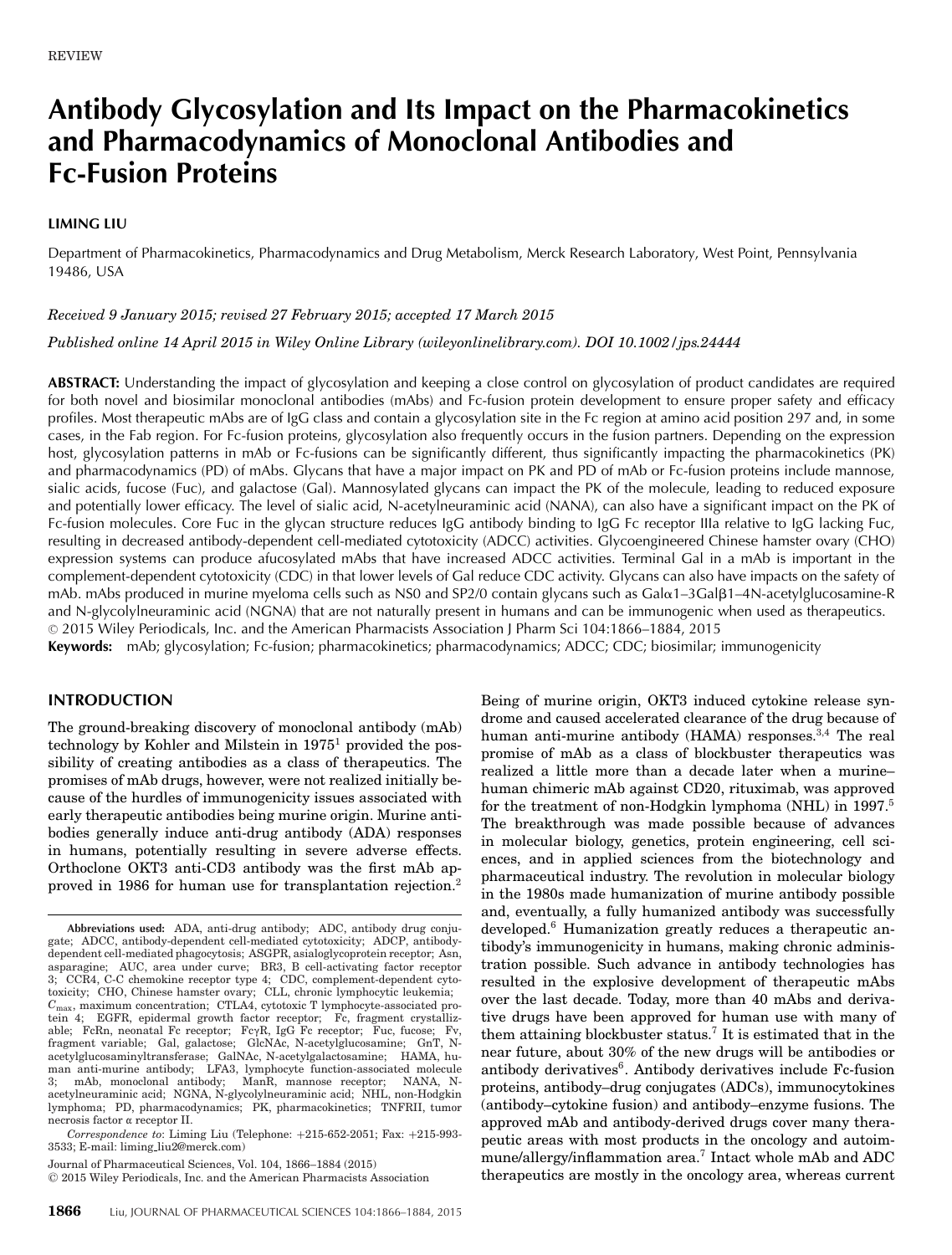# **Antibody Glycosylation and Its Impact on the Pharmacokinetics and Pharmacodynamics of Monoclonal Antibodies and Fc-Fusion Proteins**

### **LIMING LIU**

Department of Pharmacokinetics, Pharmacodynamics and Drug Metabolism, Merck Research Laboratory, West Point, Pennsylvania 19486, USA

*Received 9 January 2015; revised 27 February 2015; accepted 17 March 2015*

*Published online 14 April 2015 in Wiley Online Library (wileyonlinelibrary.com). DOI 10.1002/jps.24444*

**ABSTRACT:** Understanding the impact of glycosylation and keeping a close control on glycosylation of product candidates are required for both novel and biosimilar monoclonal antibodies (mAbs) and Fc-fusion protein development to ensure proper safety and efficacy profiles. Most therapeutic mAbs are of IgG class and contain a glycosylation site in the Fc region at amino acid position 297 and, in some cases, in the Fab region. For Fc-fusion proteins, glycosylation also frequently occurs in the fusion partners. Depending on the expression host, glycosylation patterns in mAb or Fc-fusions can be significantly different, thus significantly impacting the pharmacokinetics (PK) and pharmacodynamics (PD) of mAbs. Glycans that have a major impact on PK and PD of mAb or Fc-fusion proteins include mannose, sialic acids, fucose (Fuc), and galactose (Gal). Mannosylated glycans can impact the PK of the molecule, leading to reduced exposure and potentially lower efficacy. The level of sialic acid, N-acetylneuraminic acid (NANA), can also have a significant impact on the PK of Fc-fusion molecules. Core Fuc in the glycan structure reduces IgG antibody binding to IgG Fc receptor IIIa relative to IgG lacking Fuc, resulting in decreased antibody-dependent cell-mediated cytotoxicity (ADCC) activities. Glycoengineered Chinese hamster ovary (CHO) expression systems can produce afucosylated mAbs that have increased ADCC activities. Terminal Gal in a mAb is important in the complement-dependent cytotoxicity (CDC) in that lower levels of Gal reduce CDC activity. Glycans can also have impacts on the safety of mAb. mAbs produced in murine myeloma cells such as NS0 and SP2/0 contain glycans such as Galα1–3Galβ1–4N-acetylglucosamine-R and N-glycolylneuraminic acid (NGNA) that are not naturally present in humans and can be immunogenic when used as therapeutics. -<sup>C</sup> 2015 Wiley Periodicals, Inc. and the American Pharmacists Association J Pharm Sci 104:1866–1884, 2015

**Keywords:** mAb; glycosylation; Fc-fusion; pharmacokinetics; pharmacodynamics; ADCC; CDC; biosimilar; immunogenicity

## **INTRODUCTION**

The ground-breaking discovery of monoclonal antibody (mAb) technology by Kohler and Milstein in 1975<sup>1</sup> provided the possibility of creating antibodies as a class of therapeutics. The promises of mAb drugs, however, were not realized initially because of the hurdles of immunogenicity issues associated with early therapeutic antibodies being murine origin. Murine antibodies generally induce anti-drug antibody (ADA) responses in humans, potentially resulting in severe adverse effects. Orthoclone OKT3 anti-CD3 antibody was the first mAb approved in 1986 for human use for transplantation rejection.2 Being of murine origin, OKT3 induced cytokine release syndrome and caused accelerated clearance of the drug because of human anti-murine antibody (HAMA) responses.<sup>3,4</sup> The real promise of mAb as a class of blockbuster therapeutics was realized a little more than a decade later when a murine– human chimeric mAb against CD20, rituximab, was approved for the treatment of non-Hodgkin lymphoma (NHL) in 1997.5 The breakthrough was made possible because of advances in molecular biology, genetics, protein engineering, cell sciences, and in applied sciences from the biotechnology and pharmaceutical industry. The revolution in molecular biology in the 1980s made humanization of murine antibody possible and, eventually, a fully humanized antibody was successfully developed.6 Humanization greatly reduces a therapeutic antibody's immunogenicity in humans, making chronic administration possible. Such advance in antibody technologies has resulted in the explosive development of therapeutic mAbs over the last decade. Today, more than 40 mAbs and derivative drugs have been approved for human use with many of them attaining blockbuster status.<sup>7</sup> It is estimated that in the near future, about 30% of the new drugs will be antibodies or antibody derivatives<sup>6</sup>. Antibody derivatives include Fc-fusion proteins, antibody–drug conjugates (ADCs), immunocytokines (antibody–cytokine fusion) and antibody–enzyme fusions. The approved mAb and antibody-derived drugs cover many therapeutic areas with most products in the oncology and autoimmune/allergy/inflammation area.<sup>7</sup> Intact whole mAb and ADC therapeutics are mostly in the oncology area, whereas current

**Abbreviations used:** ADA, anti-drug antibody; ADC, antibody drug conjugate; ADCC, antibody-dependent cell-mediated cytotoxicity; ADCP, antibodydependent cell-mediated phagocytosis; ASGPR, asialoglycoprotein receptor; Asn, asparagine; AUC, area under curve; BR3, B cell-activating factor receptor 3; CCR4, C-C chemokine receptor type 4; CDC, complement-dependent cytotoxicity; CHO, Chinese hamster ovary; CLL, chronic lymphocytic leukemia;<br> $C_{\text{max}}$ , maximum concentration; CTLA4, cytotoxic T lymphocyte-associated protein 4; EGFR, epidermal growth factor receptor; Fc, fragment crystallizable; FcRn, neonatal Fc receptor; FcyR, IgG Fc receptor; Fuc, fucose; Fv, fragment variable; Gal, galactose; GlcNAc, N-acetylglucosamine; GnT, Nacetylglucosaminyltransferase; GalNAc, N-acetylgalactosamine; HAMA, human anti-murine antibody; LFA3, lymphocyte function-associated molecule 3; mAb, monoclonal antibody; ManR, mannose receptor; NANA, Nacetylneuraminic acid; NGNA, N-glycolylneuraminic acid; NHL, non-Hodgkin lymphoma; PD, pharmacodynamics; PK, pharmacokinetics; TNFRII, tumor necrosis factor  $\alpha$  receptor II.

*Correspondence to*: Liming Liu (Telephone: +215-652-2051; Fax: +215-993- 3533; E-mail: liming liu2@merck.com)

Journal of Pharmaceutical Sciences, Vol. 104, 1866–1884 (2015)

<sup>-</sup>C 2015 Wiley Periodicals, Inc. and the American Pharmacists Association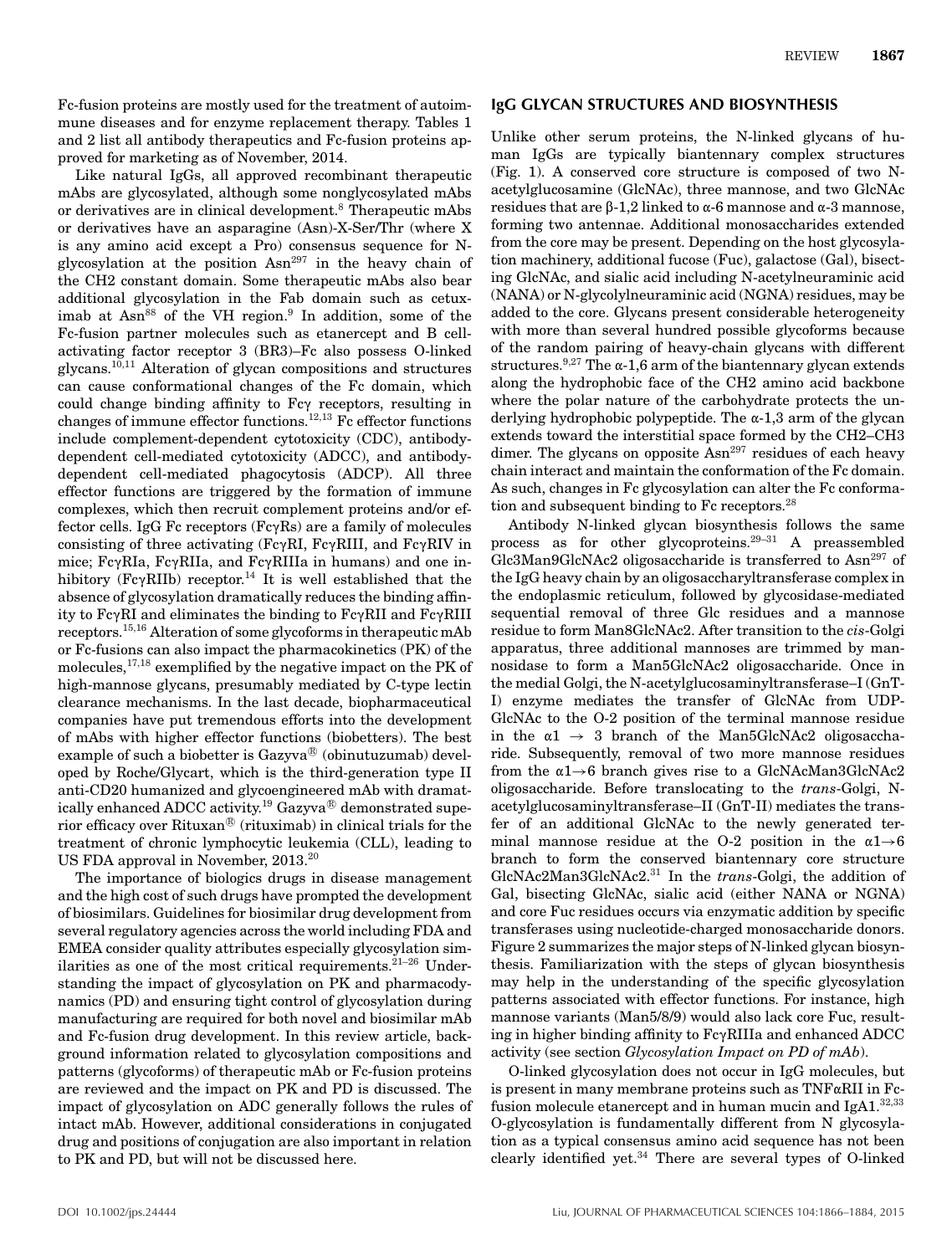Fc-fusion proteins are mostly used for the treatment of autoimmune diseases and for enzyme replacement therapy. Tables 1 and 2 list all antibody therapeutics and Fc-fusion proteins approved for marketing as of November, 2014.

Like natural IgGs, all approved recombinant therapeutic mAbs are glycosylated, although some nonglycosylated mAbs or derivatives are in clinical development.8 Therapeutic mAbs or derivatives have an asparagine (Asn)-X-Ser/Thr (where X is any amino acid except a Pro) consensus sequence for Nglycosylation at the position  $\text{Asn}^{297}$  in the heavy chain of the CH2 constant domain. Some therapeutic mAbs also bear additional glycosylation in the Fab domain such as cetuximab at  $Asn^{88}$  of the VH region.<sup>9</sup> In addition, some of the Fc-fusion partner molecules such as etanercept and B cellactivating factor receptor 3 (BR3)–Fc also possess O-linked glycans.10,11 Alteration of glycan compositions and structures can cause conformational changes of the Fc domain, which could change binding affinity to Fc $\gamma$  receptors, resulting in changes of immune effector functions.<sup>12,13</sup> Fc effector functions include complement-dependent cytotoxicity (CDC), antibodydependent cell-mediated cytotoxicity (ADCC), and antibodydependent cell-mediated phagocytosis (ADCP). All three effector functions are triggered by the formation of immune complexes, which then recruit complement proteins and/or effector cells. IgG Fc receptors ( $Fc\gamma Rs$ ) are a family of molecules consisting of three activating ( $Fc\gamma RI$ ,  $Fc\gamma RIII$ , and  $Fc\gamma RIV$  in mice;  $Fc\gamma RIA$ ,  $Fc\gamma RII$ a, and  $Fc\gamma RIII$ a in humans) and one inhibitory (Fc $\gamma$ RIIb) receptor.<sup>14</sup> It is well established that the absence of glycosylation dramatically reduces the binding affinity to  $Fc\gamma RI$  and eliminates the binding to  $Fc\gamma RII$  and  $Fc\gamma RIII$ receptors.15,16 Alteration of some glycoforms in therapeutic mAb or Fc-fusions can also impact the pharmacokinetics (PK) of the molecules,  $^{17,18}$  exemplified by the negative impact on the PK of high-mannose glycans, presumably mediated by C-type lectin clearance mechanisms. In the last decade, biopharmaceutical companies have put tremendous efforts into the development of mAbs with higher effector functions (biobetters). The best example of such a biobetter is Gazyva $^\circledR$  (obinutuzumab) developed by Roche/Glycart, which is the third-generation type II anti-CD20 humanized and glycoengineered mAb with dramatically enhanced ADCC activity.<sup>19</sup> Gazyva $^{\circledR}$  demonstrated superior efficacy over Rituxan $^\circledR$  (rituximab) in clinical trials for the treatment of chronic lymphocytic leukemia (CLL), leading to US FDA approval in November, 2013.20

The importance of biologics drugs in disease management and the high cost of such drugs have prompted the development of biosimilars. Guidelines for biosimilar drug development from several regulatory agencies across the world including FDA and EMEA consider quality attributes especially glycosylation similarities as one of the most critical requirements.<sup>21-26</sup> Understanding the impact of glycosylation on PK and pharmacodynamics (PD) and ensuring tight control of glycosylation during manufacturing are required for both novel and biosimilar mAb and Fc-fusion drug development. In this review article, background information related to glycosylation compositions and patterns (glycoforms) of therapeutic mAb or Fc-fusion proteins are reviewed and the impact on PK and PD is discussed. The impact of glycosylation on ADC generally follows the rules of intact mAb. However, additional considerations in conjugated drug and positions of conjugation are also important in relation to PK and PD, but will not be discussed here.

#### **IgG GLYCAN STRUCTURES AND BIOSYNTHESIS**

Unlike other serum proteins, the N-linked glycans of human IgGs are typically biantennary complex structures (Fig. 1). A conserved core structure is composed of two Nacetylglucosamine (GlcNAc), three mannose, and two GlcNAc residues that are  $\beta$ -1,2 linked to  $\alpha$ -6 mannose and  $\alpha$ -3 mannose, forming two antennae. Additional monosaccharides extended from the core may be present. Depending on the host glycosylation machinery, additional fucose (Fuc), galactose (Gal), bisecting GlcNAc, and sialic acid including N-acetylneuraminic acid (NANA) or N-glycolylneuraminic acid (NGNA) residues, may be added to the core. Glycans present considerable heterogeneity with more than several hundred possible glycoforms because of the random pairing of heavy-chain glycans with different structures.<sup>9,27</sup> The  $\alpha$ -1,6 arm of the biantennary glycan extends along the hydrophobic face of the CH2 amino acid backbone where the polar nature of the carbohydrate protects the underlying hydrophobic polypeptide. The  $\alpha$ -1,3 arm of the glycan extends toward the interstitial space formed by the CH2–CH3 dimer. The glycans on opposite  $\text{Asn}^{297}$  residues of each heavy chain interact and maintain the conformation of the Fc domain. As such, changes in Fc glycosylation can alter the Fc conformation and subsequent binding to Fc receptors.28

Antibody N-linked glycan biosynthesis follows the same process as for other glycoproteins.29–31 A preassembled Glc3Man9GlcNAc2 oligosaccharide is transferred to Asn<sup>297</sup> of the IgG heavy chain by an oligosaccharyltransferase complex in the endoplasmic reticulum, followed by glycosidase-mediated sequential removal of three Glc residues and a mannose residue to form Man8GlcNAc2. After transition to the *cis*-Golgi apparatus, three additional mannoses are trimmed by mannosidase to form a Man5GlcNAc2 oligosaccharide. Once in the medial Golgi, the N-acetylglucosaminyltransferase–I (GnT-I) enzyme mediates the transfer of GlcNAc from UDP-GlcNAc to the O-2 position of the terminal mannose residue in the  $\alpha_1 \rightarrow 3$  branch of the Man5GlcNAc2 oligosaccharide. Subsequently, removal of two more mannose residues from the  $\alpha$ 1→6 branch gives rise to a GlcNAcMan3GlcNAc2 oligosaccharide. Before translocating to the *trans*-Golgi, Nacetylglucosaminyltransferase–II (GnT-II) mediates the transfer of an additional GlcNAc to the newly generated terminal mannose residue at the O-2 position in the  $\alpha$ 1→6 branch to form the conserved biantennary core structure GlcNAc2Man3GlcNAc2.<sup>31</sup> In the *trans*-Golgi, the addition of Gal, bisecting GlcNAc, sialic acid (either NANA or NGNA) and core Fuc residues occurs via enzymatic addition by specific transferases using nucleotide-charged monosaccharide donors. Figure 2 summarizes the major steps of N-linked glycan biosynthesis. Familiarization with the steps of glycan biosynthesis may help in the understanding of the specific glycosylation patterns associated with effector functions. For instance, high mannose variants (Man5/8/9) would also lack core Fuc, resulting in higher binding affinity to  $Fc\gamma RIII$ a and enhanced ADCC activity (see section *Glycosylation Impact on PD of mAb*).

O-linked glycosylation does not occur in IgG molecules, but is present in many membrane proteins such as  $TNF\alpha RII$  in Fcfusion molecule etanercept and in human mucin and IgA1. $32,33$ O-glycosylation is fundamentally different from N glycosylation as a typical consensus amino acid sequence has not been clearly identified yet. $34$  There are several types of O-linked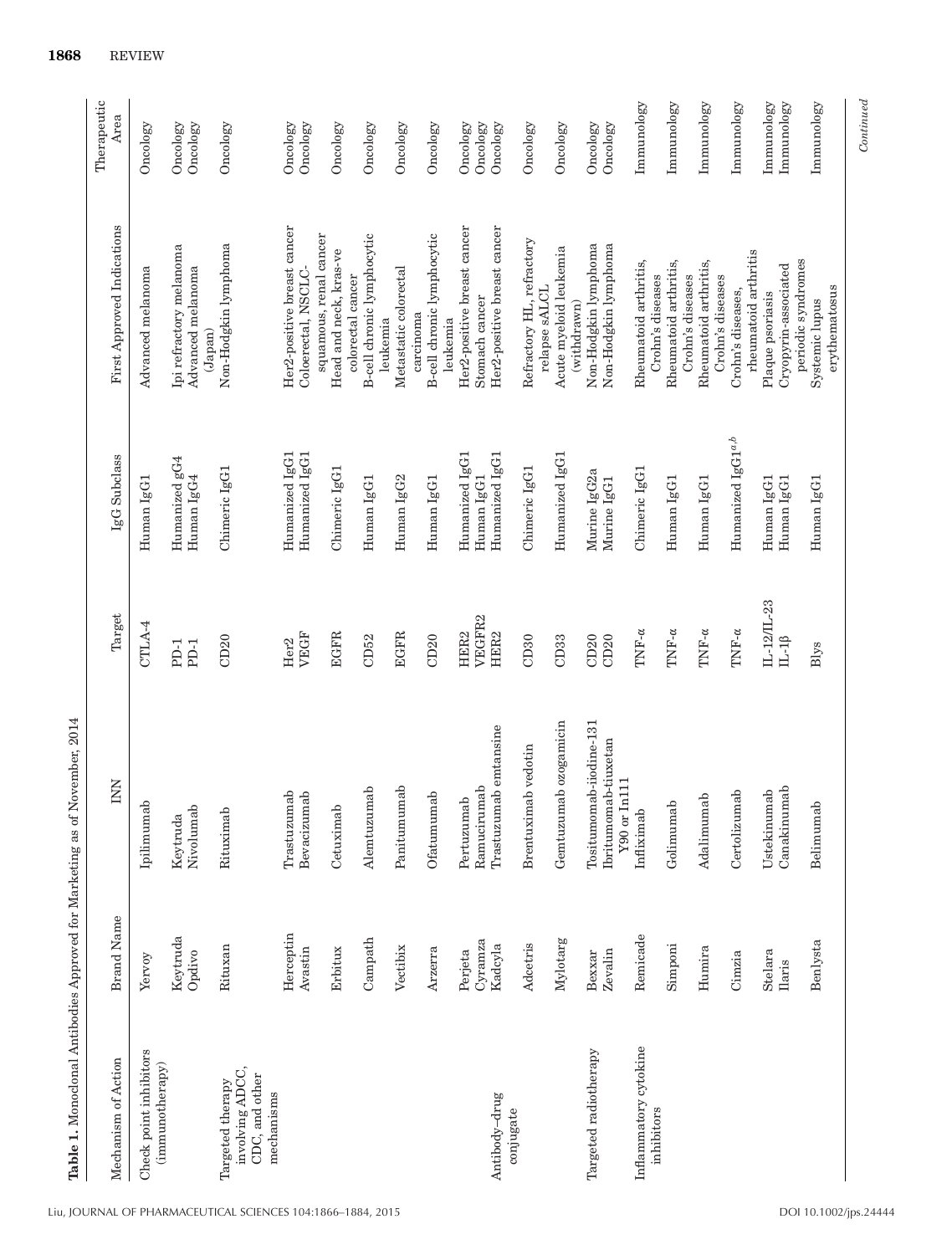| <b>Table 1.</b> Monoclonal Antibodies Approved for Marketing as of |                       | November, 2014                                  |                            |                                         |                                                               |                          |
|--------------------------------------------------------------------|-----------------------|-------------------------------------------------|----------------------------|-----------------------------------------|---------------------------------------------------------------|--------------------------|
| Mechanism of Action                                                | <b>Brand Name</b>     | Š                                               | Target                     | IgG Subclass                            | First Approved Indications                                    | Therapeutic<br>Area      |
| Check point inhibitors                                             | Yervoy                | Ipilimumab                                      | CTLA-4                     | Human IgG1                              | Advanced melanoma                                             | Oncology                 |
| (immunotherapy)                                                    | Keytruda<br>Opdivo    | Nivolumab<br>Keytruda                           | PD-1<br>$PD-1$             | Humanized gG4<br>Human IgG4             | Ipi refractory melanoma<br>Advanced melanoma                  | Oncology<br>Oncology     |
| involving ADCC,<br>CDC, and other<br>Targeted therapy              | Rituxan               | Rituximab                                       | CD20                       | Chimeric IgG1                           | Non-Hodgkin lymphoma<br>(Japan)                               | Oncology                 |
| mechanisms                                                         | Herceptin<br>Avastin  | Trastuzumab<br>Bevacizumab                      | VEGF<br>Her <sub>2</sub>   | Humanized IgG1<br>Humanized IgG1        | Her2-positive breast cancer<br>Coloerectal, NSCLC-            | Oncology<br>Oncology     |
|                                                                    | Erbitux               | Cetuximab                                       | <b>EGFR</b>                | Chimeric IgG1                           | squamous, renal cancer<br>Head and neck, kras-ve              | Oncology                 |
|                                                                    | Campath               | Alemtuzumab                                     | CD52                       | Human IgG1                              | B-cell chronic lymphocytic<br>colorectal cancer               | Oncology                 |
|                                                                    | Vectibix              | Panitumumab                                     | <b>EGFR</b>                | Human IgG2                              | Metastatic colorectal<br>leukemia                             | Oncology                 |
|                                                                    | Arzerra               | Ofatumumab                                      | CD20                       | Human IgG1                              | B-cell chronic lymphocytic<br>carcinoma                       | Oncology                 |
|                                                                    | Perjeta               | Pertuzumab                                      | HER2                       | Humanized IgG1                          | Her2-positive breast cancer<br>leukemia                       | Oncology                 |
| Antibody-drug                                                      | $Cyr$ amza<br>Kadcyla | Trastuzumab emtansine<br>Ramucirumab            | VEGFR2<br>HER2             | Humanized IgG1<br>Human IgG1            | Her2-positive breast cancer<br>Stomach cancer                 | Oncology<br>Oncology     |
| conjugate                                                          | Adcetris              | Brentuximab vedotin                             | CD30                       | Chimeric IgG1                           | Refractory HL, refractory                                     | Oncology                 |
|                                                                    | Mylotarg              | Gemtuzumab ozogamicin                           | CD33                       | Humanized IgG1                          | Acute myeloid leukemia<br>relapse sALCL                       | Oncology                 |
| Targeted radiotherapy                                              | Zevalin<br>Bexxar     | Tositumomab-iiodine-131<br>Ibritumomab-tiuxetan | CD20<br>CD20               | Murine IgG <sub>2a</sub><br>Murine IgG1 | Non-Hodgkin lymphoma<br>Non-Hodgkin lymphoma<br>(withdrawn)   | Oncology<br>Oncology     |
| Inflammatory cytokine                                              | Remicade              | $Y90$ or $In111$<br>Infliximab                  | $\text{TMF-}\alpha$        | Chimeric IgG1                           | Rheumatoid arthritis,                                         | Immunology               |
| inhibitors                                                         | Simponi               | Golimumab                                       | $\text{TMF-}\alpha$        | Human IgG1                              | Rheumatoid arthritis,<br>Crohn's diseases                     | Immunology               |
|                                                                    | Humira                | Adalimumab                                      | $\text{TNF-}\alpha$        | Human IgG1                              | Rheumatoid arthritis,<br>Crohn's diseases<br>Crohn's diseases | Immunology               |
|                                                                    | Cimzia                | Certolizumab                                    | $\text{TNF-}\alpha$        | Humanized IgG1 <sup>a,b</sup>           | rheumatoid arthritis<br>Crohn's diseases,                     | Immunology               |
|                                                                    | Stelara<br>Ilaris     | Canakinumab<br>Ustekinumab                      | IL-12/IL-23<br>$IL-1\beta$ | Human IgG1<br>Human IgG1                | Cryopyrin-associated<br>Plaque psoriasis                      | Immunology<br>Immunology |
|                                                                    | Benlysta              | Belimumab                                       | Blys                       | Human IgG1                              | periodic syndromes<br>erythematosus<br>Systemic lupus         | Immunology               |

*Continued*

 $Continued$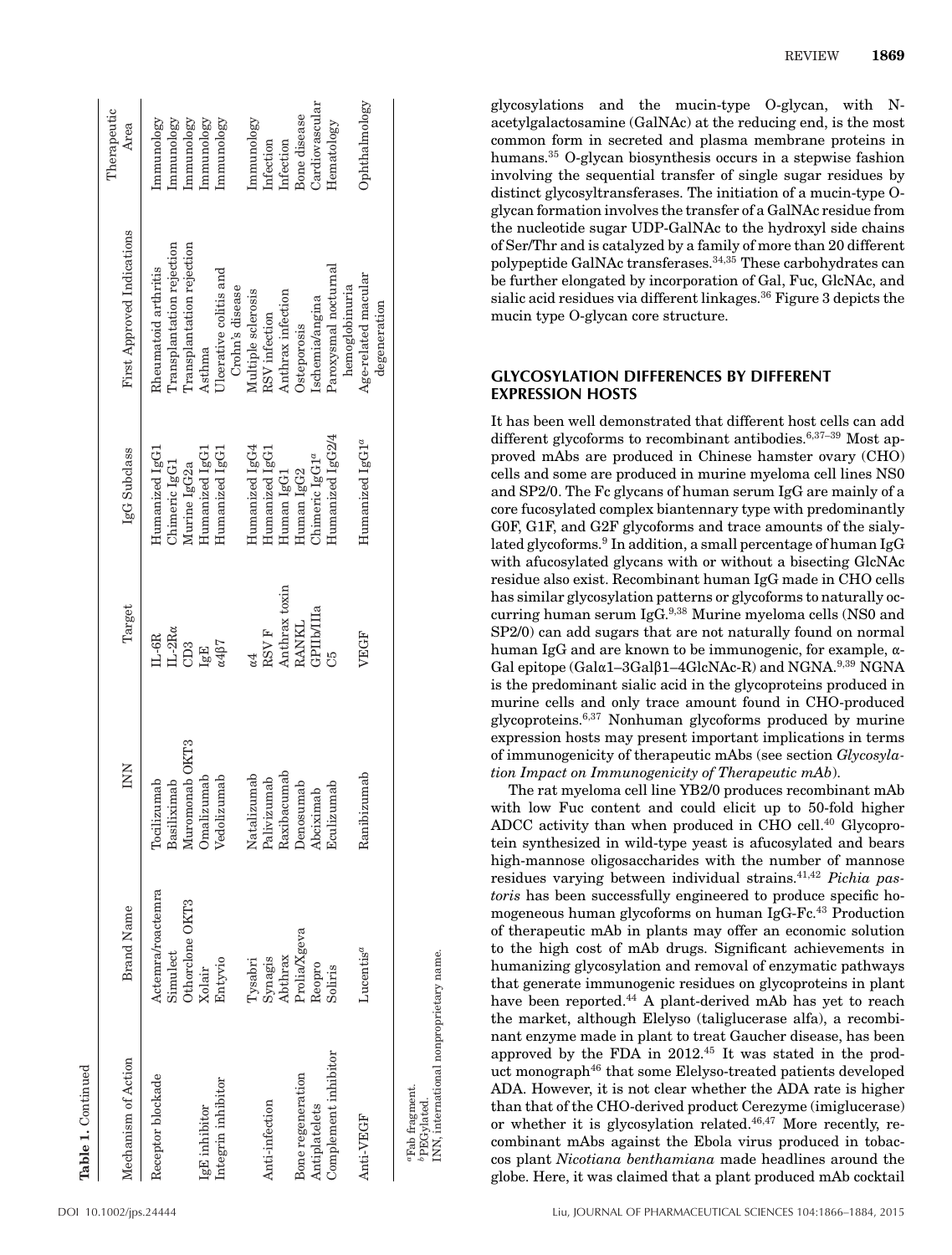| Table 1. Continued                      |                   |                |                                    |                             |                            | Therapeutic    |
|-----------------------------------------|-------------------|----------------|------------------------------------|-----------------------------|----------------------------|----------------|
| Mechanism of Action                     | <b>Brand Name</b> | INN            | Target                             | IgG Subclass                | First Approved Indications | Area           |
| Receptor blockade                       | Actemra/roactemra | Tocilizumab    | $IL-6R$                            | Humanized IgG1              | Rheumatoid arthritis       | Immunology     |
|                                         | Simulect          | Basiliximab    | $_{\rm IL\text{-}2R\alpha}$        | Chimeric IgG1               | Transplantation rejection  | Immunology     |
|                                         | Othorclone OKT3   | Muromonab OKT3 | CD3                                | Murine IgG <sub>2a</sub>    | Transplantation rejection  | Immunology     |
| IgE inhibitor                           | Xolair            | Omalizumab     | IgE                                | Humanized IgG1              | Asthma                     | Immunology     |
| Integrin inhibitor                      | Entyvio           | Vedolizumab    | $\alpha$ 4 $\beta$ 7               | Humanized IgG1              | Ulcerative colitis and     | Immunology     |
|                                         |                   |                |                                    |                             | Crohn's disease            |                |
|                                         | ${\rm Tysabri}$   | Natalizumab    | α4                                 | Humanized IgG4              | Multiple sclerosis         | Immunology     |
| Anti-infection                          | Synagis           | Palivizumab    | $\ensuremath{\text{RSV}}\xspace$ F | Humanized IgG1              | RSV infection              | Infection      |
|                                         | Abthrax           | Raxibacumab    | Anthrax toxin                      | Human IgG1                  | Anthrax infection          | Infection      |
| Bone regeneration                       | Prolia/Xgeva      | Denosumab      | RANKL                              | Human IgG2                  | Osteporosis                | Bone disease   |
| Antiplatelets                           | Reopro            | Abciximab      | GPIIb/IIIa                         | Chimeric IgG1 <sup>a</sup>  | Ischemia/angina            | Cardiovascular |
| Complement inhibitor                    | Soliris           | Eculizumab     | ကို                                | Humanized IgG2/4            | Paroxysmal nocturnal       | Hematology     |
|                                         |                   |                |                                    |                             | hemoglobinuria             |                |
| Anti-VEGF                               | $Lucentis^a$      | Ranibizumab    | VEGF                               | Humanized IgG1 <sup>a</sup> | Age-related macular        | Ophthalmology  |
|                                         |                   |                |                                    |                             | degeneration               |                |
| "Fab fragment.<br>bPEGylated            |                   |                |                                    |                             |                            |                |
| INN, international nonproprietary name. |                   |                |                                    |                             |                            |                |

glycosylations and the mucin-type O-glycan, with Nacetylgalactosamine (GalNAc) at the reducing end, is the most common form in secreted and plasma membrane proteins in humans.<sup>35</sup> O-glycan biosynthesis occurs in a stepwise fashion involving the sequential transfer of single sugar residues by distinct glycosyltransferases. The initiation of a mucin-type Oglycan formation involves the transfer of a GalNAc residue from the nucleotide sugar UDP-GalNAc to the hydroxyl side chains of Ser/Thr and is catalyzed by a family of more than 20 different polypeptide GalNAc transferases.34,35 These carbohydrates can be further elongated by incorporation of Gal, Fuc, GlcNAc, and sialic acid residues via different linkages.36 Figure 3 depicts the mucin type O-glycan core structure.

#### **GLYCOSYLATION DIFFERENCES BY DIFFERENT EXPRESSION HOSTS**

It has been well demonstrated that different host cells can add different glycoforms to recombinant antibodies.<sup>6,37-39</sup> Most approved mAbs are produced in Chinese hamster ovary (CHO) cells and some are produced in murine myeloma cell lines NS0 and SP2/0. The Fc glycans of human serum IgG are mainly of a core fucosylated complex biantennary type with predominantly G0F, G1F, and G2F glycoforms and trace amounts of the sialylated glycoforms.<sup>9</sup> In addition, a small percentage of human IgG with afucosylated glycans with or without a bisecting GlcNAc residue also exist. Recombinant human IgG made in CHO cells has similar glycosylation patterns or glycoforms to naturally occurring human serum IgG.9,38 Murine myeloma cells (NS0 and SP2/0) can add sugars that are not naturally found on normal human IgG and are known to be immunogenic, for example,  $\alpha$ -Gal epitope (Gal $\alpha$ 1–3Gal $\beta$ 1–4GlcNAc-R) and NGNA.<sup>9,39</sup> NGNA is the predominant sialic acid in the glycoproteins produced in murine cells and only trace amount found in CHO-produced glycoproteins.6,37 Nonhuman glycoforms produced by murine expression hosts may present important implications in terms of immunogenicity of therapeutic mAbs (see section *Glycosylation Impact on Immunogenicity of Therapeutic mAb*).

The rat myeloma cell line YB2/0 produces recombinant mAb with low Fuc content and could elicit up to 50-fold higher ADCC activity than when produced in CHO cell.<sup>40</sup> Glycoprotein synthesized in wild-type yeast is afucosylated and bears high-mannose oligosaccharides with the number of mannose residues varying between individual strains.41,42 *Pichia pastoris* has been successfully engineered to produce specific homogeneous human glycoforms on human IgG-Fc.<sup>43</sup> Production of therapeutic mAb in plants may offer an economic solution to the high cost of mAb drugs. Significant achievements in humanizing glycosylation and removal of enzymatic pathways that generate immunogenic residues on glycoproteins in plant have been reported.<sup>44</sup> A plant-derived mAb has yet to reach the market, although Elelyso (taliglucerase alfa), a recombinant enzyme made in plant to treat Gaucher disease, has been approved by the FDA in 2012.45 It was stated in the product monograph<sup>46</sup> that some Elelyso-treated patients developed ADA. However, it is not clear whether the ADA rate is higher than that of the CHO-derived product Cerezyme (imiglucerase) or whether it is glycosylation related.46,47 More recently, recombinant mAbs against the Ebola virus produced in tobaccos plant *Nicotiana benthamiana* made headlines around the globe. Here, it was claimed that a plant produced mAb cocktail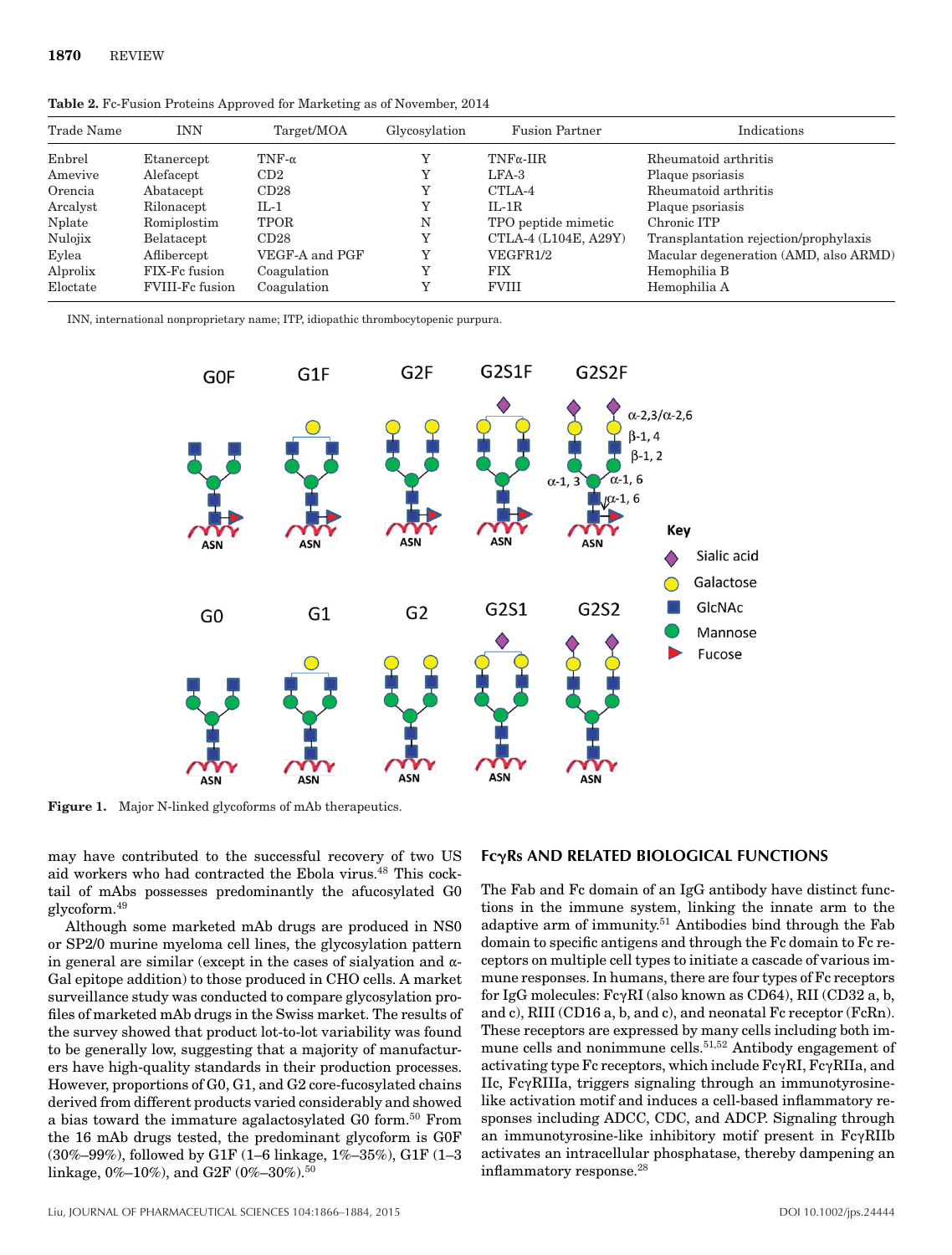| Trade Name | INN                    | Target/MOA     | Glycosylation | <b>Fusion Partner</b> | Indications                           |
|------------|------------------------|----------------|---------------|-----------------------|---------------------------------------|
| Enbrel     | Etanercept             | TNF- $\alpha$  |               | $TNF\alpha$ -IIR      | Rheumatoid arthritis                  |
| Amevive    | Alefacept              | CD2            |               | $LFA-3$               | Plaque psoriasis                      |
| Orencia    | Abatacept              | CD28           |               | CTLA-4                | Rheumatoid arthritis                  |
| Arcalyst   | Rilonacept             | $IL-1$         |               | $IL-1R$               | Plaque psoriasis                      |
| Nplate     | Romiplostim            | TPOR           | N             | TPO peptide mimetic   | Chronic ITP                           |
| Nulojix    | Belatacept             | CD28           |               | CTLA-4 (L104E, A29Y)  | Transplantation rejection/prophylaxis |
| Eylea      | Aflibercept            | VEGF-A and PGF | Y             | VEGFR1/2              | Macular degeneration (AMD, also ARMD) |
| Alprolix   | FIX-Fc fusion          | Coagulation    |               | <b>FIX</b>            | Hemophilia B                          |
| Eloctate   | <b>FVIII-Fc fusion</b> | Coagulation    |               | <b>FVIII</b>          | Hemophilia A                          |

**Table 2.** Fc-Fusion Proteins Approved for Marketing as of November, 2014

INN, international nonproprietary name; ITP, idiopathic thrombocytopenic purpura.



**Figure 1.** Major N-linked glycoforms of mAb therapeutics.

may have contributed to the successful recovery of two US aid workers who had contracted the Ebola virus.<sup>48</sup> This cocktail of mAbs possesses predominantly the afucosylated G0 glycoform.49

Although some marketed mAb drugs are produced in NS0 or SP2/0 murine myeloma cell lines, the glycosylation pattern in general are similar (except in the cases of sialyation and  $\alpha$ -Gal epitope addition) to those produced in CHO cells. A market surveillance study was conducted to compare glycosylation profiles of marketed mAb drugs in the Swiss market. The results of the survey showed that product lot-to-lot variability was found to be generally low, suggesting that a majority of manufacturers have high-quality standards in their production processes. However, proportions of G0, G1, and G2 core-fucosylated chains derived from different products varied considerably and showed a bias toward the immature agalactosylated G0 form.<sup>50</sup> From the 16 mAb drugs tested, the predominant glycoform is G0F (30%–99%), followed by G1F (1–6 linkage, 1%–35%), G1F (1–3 linkage, 0%-10%), and G2F (0%-30%).<sup>50</sup>

#### **Fc**-**Rs AND RELATED BIOLOGICAL FUNCTIONS**

The Fab and Fc domain of an IgG antibody have distinct functions in the immune system, linking the innate arm to the adaptive arm of immunity.<sup>51</sup> Antibodies bind through the Fab domain to specific antigens and through the Fc domain to Fc receptors on multiple cell types to initiate a cascade of various immune responses. In humans, there are four types of Fc receptors for IgG molecules:  $Fc\gamma RI$  (also known as CD64), RII (CD32 a, b, and c), RIII (CD16 a, b, and c), and neonatal Fc receptor (FcRn). These receptors are expressed by many cells including both immune cells and nonimmune cells.51,52 Antibody engagement of activating type Fc receptors, which include  $Fc\gamma RI$ ,  $Fc\gamma RI$ a, and  $\text{IIc}, \text{Fc} \gamma \text{RIIIa}, \text{triggers signaling through an immunotypes}$ like activation motif and induces a cell-based inflammatory responses including ADCC, CDC, and ADCP. Signaling through an immunotyrosine-like inhibitory motif present in  $Fc\gamma RIIb$ activates an intracellular phosphatase, thereby dampening an inflammatory response.<sup>28</sup>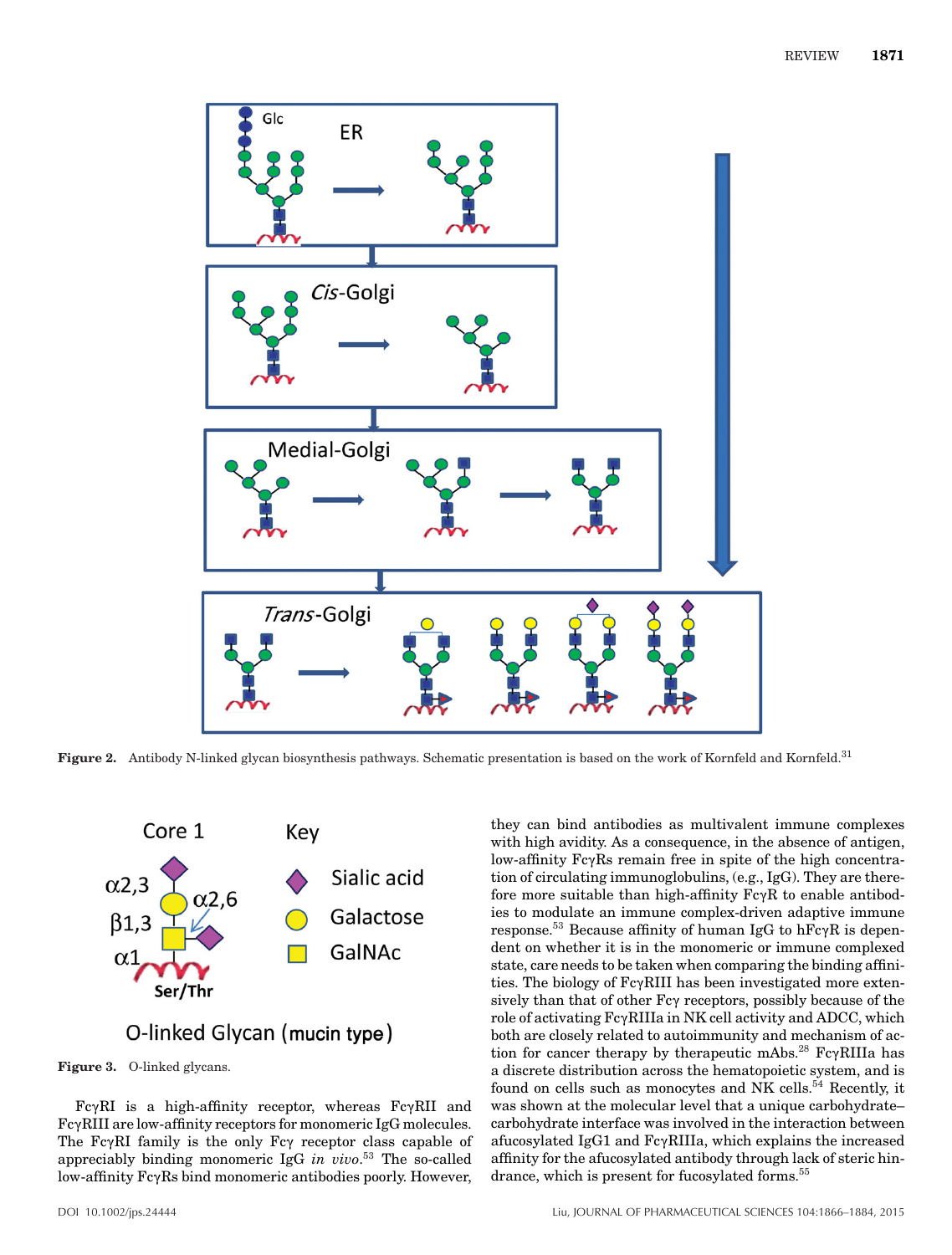

**Figure 2.** Antibody N-linked glycan biosynthesis pathways. Schematic presentation is based on the work of Kornfeld and Kornfeld.31



# O-linked Glycan (mucin type)

**Figure 3.** O-linked glycans.

 $Fc\gamma RI$  is a high-affinity receptor, whereas  $Fc\gamma RI$  and FcyRIII are low-affinity receptors for monomeric IgG molecules. The  $Fc\gamma RI$  family is the only  $Fc\gamma$  receptor class capable of appreciably binding monomeric IgG *in vivo*. <sup>53</sup> The so-called low-affinity  $Fc\gamma Rs$  bind monomeric antibodies poorly. However,

with high avidity. As a consequence, in the absence of antigen, low-affinity FcyRs remain free in spite of the high concentration of circulating immunoglobulins, (e.g., IgG). They are therefore more suitable than high-affinity  $Fc\gamma R$  to enable antibodies to modulate an immune complex-driven adaptive immune response.<sup>53</sup> Because affinity of human IgG to  $hFc\gamma R$  is dependent on whether it is in the monomeric or immune complexed state, care needs to be taken when comparing the binding affinities. The biology of  $Fc\gamma$ RIII has been investigated more extensively than that of other Fc $\gamma$  receptors, possibly because of the role of activating FcyRIIIa in NK cell activity and ADCC, which both are closely related to autoimmunity and mechanism of action for cancer therapy by therapeutic mAbs.<sup>28</sup> Fc $\gamma$ RIIIa has a discrete distribution across the hematopoietic system, and is found on cells such as monocytes and NK cells.<sup>54</sup> Recently, it was shown at the molecular level that a unique carbohydrate– carbohydrate interface was involved in the interaction between afucosylated IgG1 and  $Fc\gamma RIIIa$ , which explains the increased affinity for the afucosylated antibody through lack of steric hindrance, which is present for fucosylated forms.<sup>55</sup>

they can bind antibodies as multivalent immune complexes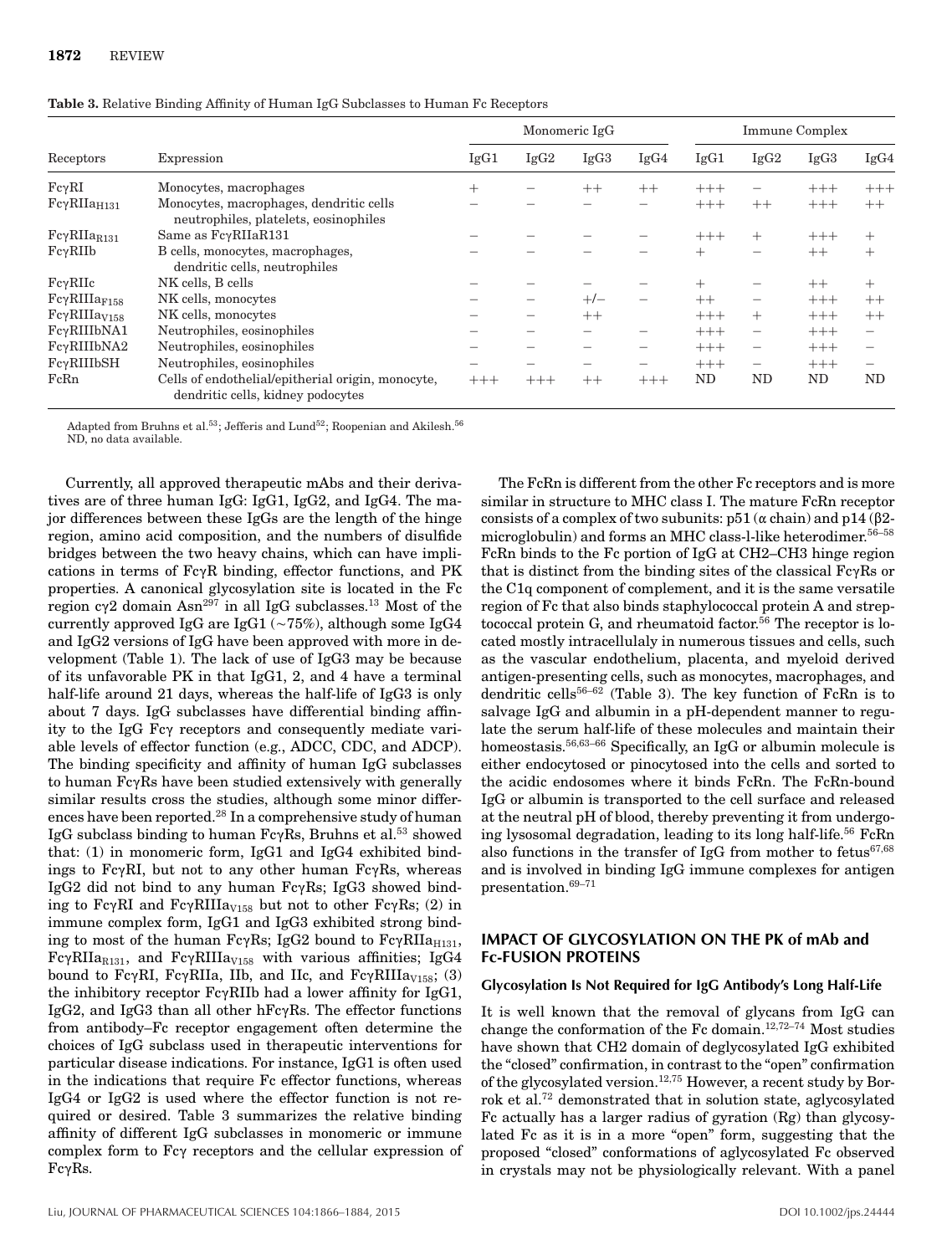|                         |                                                                                        |        |       | Monomeric IgG |                          |        |                          | <b>Immune Complex</b> |                          |
|-------------------------|----------------------------------------------------------------------------------------|--------|-------|---------------|--------------------------|--------|--------------------------|-----------------------|--------------------------|
| Receptors               | Expression                                                                             | IgG1   | IgG2  | IgG3          | IgG4                     | IgG1   | IgG2                     | IgG3                  | IgG4                     |
| $Fc\gamma RI$           | Monocytes, macrophages                                                                 | $^{+}$ |       | $++$          | $++$                     | $+++$  |                          | $+++$                 | $+++$                    |
| $Fc\gamma RIIa_{H131}$  | Monocytes, macrophages, dendritic cells<br>neutrophiles, platelets, eosinophiles       |        |       |               |                          | $+++$  | $++$                     | $+++$                 | $++$                     |
| $Fc\gamma RIIa_{R131}$  | Same as $Fc\gamma RIIaR131$                                                            |        |       |               |                          | $+++$  | $^{+}$                   | $+++$                 | $^{+}$                   |
| $Fc\gamma RIIb$         | B cells, monocytes, macrophages,<br>dendritic cells, neutrophiles                      |        |       |               |                          | $^{+}$ | -                        | $++$                  | $^{+}$                   |
| $Fc\gamma RIIc$         | NK cells, B cells                                                                      |        |       |               |                          | $^{+}$ |                          | $++$                  | $^{+}$                   |
| $Fc\gamma RIIIa_{F158}$ | NK cells, monocytes                                                                    |        |       | $+/-$         | $\overline{\phantom{m}}$ | $++$   | $\overline{\phantom{0}}$ | $+++$                 | $++$                     |
| $Fc\gamma RIIIaV158$    | NK cells, monocytes                                                                    |        |       | $++$          |                          | $+++$  | $^{+}$                   | $+++$                 | $++$                     |
| FcyRIIIbNA1             | Neutrophiles, eosinophiles                                                             |        |       |               |                          | $+++$  | $\overline{\phantom{m}}$ | $+++$                 | $\overline{\phantom{m}}$ |
| FcyRIIIbNA2             | Neutrophiles, eosinophiles                                                             |        |       |               |                          | $+++$  | -                        | $+++$                 | -                        |
| FcyRIIIbSH              | Neutrophiles, eosinophiles                                                             |        |       |               |                          | $+++$  | $\qquad \qquad -$        | $+++$                 | $\overline{\phantom{m}}$ |
| FcRn                    | Cells of endothelial/epitherial origin, monocyte,<br>dendritic cells, kidney podocytes | $+++$  | $+++$ | $++$          | $^{+++}$                 | ND     | ND                       | ND                    | <b>ND</b>                |

**Table 3.** Relative Binding Affinity of Human IgG Subclasses to Human Fc Receptors

Adapted from Bruhns et al.<sup>53</sup>; Jefferis and Lund<sup>52</sup>; Roopenian and Akilesh.<sup>56</sup> ND, no data available.

Currently, all approved therapeutic mAbs and their derivatives are of three human IgG: IgG1, IgG2, and IgG4. The major differences between these IgGs are the length of the hinge region, amino acid composition, and the numbers of disulfide bridges between the two heavy chains, which can have implications in terms of  $Fc\gamma R$  binding, effector functions, and PK properties. A canonical glycosylation site is located in the Fc region  $c\gamma 2$  domain Asn<sup>297</sup> in all IgG subclasses.<sup>13</sup> Most of the currently approved IgG are IgG1 ( $\sim$ 75%), although some IgG4 and IgG2 versions of IgG have been approved with more in development (Table 1). The lack of use of IgG3 may be because of its unfavorable PK in that IgG1, 2, and 4 have a terminal half-life around 21 days, whereas the half-life of IgG3 is only about 7 days. IgG subclasses have differential binding affinity to the IgG Fc $\gamma$  receptors and consequently mediate variable levels of effector function (e.g., ADCC, CDC, and ADCP). The binding specificity and affinity of human IgG subclasses to human  $Fc\gamma Rs$  have been studied extensively with generally similar results cross the studies, although some minor differences have been reported.<sup>28</sup> In a comprehensive study of human IgG subclass binding to human Fc $\gamma$ Rs, Bruhns et al.<sup>53</sup> showed that: (1) in monomeric form, IgG1 and IgG4 exhibited bindings to Fc $\gamma$ RI, but not to any other human Fc $\gamma$ Rs, whereas IgG2 did not bind to any human Fc $\gamma$ Rs; IgG3 showed binding to Fc $\gamma$ RI and Fc $\gamma$ RIIIa<sub>V158</sub> but not to other Fc $\gamma$ Rs; (2) in immune complex form, IgG1 and IgG3 exhibited strong binding to most of the human Fc $\gamma$ Rs; IgG2 bound to Fc $\gamma$ RIIa<sub>H131</sub>,  $Fc\gamma RIIa_{R131}$ , and  $Fc\gamma RIIIa_{V158}$  with various affinities; IgG4 bound to Fc $\gamma$ RI, Fc $\gamma$ RIIa, IIb, and IIc, and Fc $\gamma$ RIIIa $_{V158}$ ; (3) the inhibitory receptor  $Fc\gamma RIIb$  had a lower affinity for IgG1, IgG2, and IgG3 than all other hFc $\gamma$ Rs. The effector functions from antibody–Fc receptor engagement often determine the choices of IgG subclass used in therapeutic interventions for particular disease indications. For instance, IgG1 is often used in the indications that require Fc effector functions, whereas IgG4 or IgG2 is used where the effector function is not required or desired. Table 3 summarizes the relative binding affinity of different IgG subclasses in monomeric or immune complex form to Fc $\gamma$  receptors and the cellular expression of  $Fc\gamma Rs.$ 

The FcRn is different from the other Fc receptors and is more similar in structure to MHC class I. The mature FcRn receptor consists of a complex of two subunits:  $p51$  ( $\alpha$  chain) and p14 ( $\beta$ 2microglobulin) and forms an MHC class-l-like heterodimer.<sup>56-58</sup> FcRn binds to the Fc portion of IgG at CH2–CH3 hinge region that is distinct from the binding sites of the classical  $Fc\gamma Rs$  or the C1q component of complement, and it is the same versatile region of Fc that also binds staphylococcal protein A and streptococcal protein G, and rheumatoid factor.<sup>56</sup> The receptor is located mostly intracellulaly in numerous tissues and cells, such as the vascular endothelium, placenta, and myeloid derived antigen-presenting cells, such as monocytes, macrophages, and dendritic cells<sup>56–62</sup> (Table 3). The key function of FcRn is to salvage IgG and albumin in a pH-dependent manner to regulate the serum half-life of these molecules and maintain their homeostasis.56,63–66 Specifically, an IgG or albumin molecule is either endocytosed or pinocytosed into the cells and sorted to the acidic endosomes where it binds FcRn. The FcRn-bound IgG or albumin is transported to the cell surface and released at the neutral pH of blood, thereby preventing it from undergoing lysosomal degradation, leading to its long half-life.<sup>56</sup> FcRn also functions in the transfer of IgG from mother to fetus $67,68$ and is involved in binding IgG immune complexes for antigen presentation.69–71

#### **IMPACT OF GLYCOSYLATION ON THE PK of mAb and Fc-FUSION PROTEINS**

#### **Glycosylation Is Not Required for IgG Antibody's Long Half-Life**

It is well known that the removal of glycans from IgG can change the conformation of the Fc domain.12,72–74 Most studies have shown that CH2 domain of deglycosylated IgG exhibited the "closed" confirmation, in contrast to the "open" confirmation of the glycosylated version.<sup>12,75</sup> However, a recent study by Borrok et al.72 demonstrated that in solution state, aglycosylated Fc actually has a larger radius of gyration (Rg) than glycosylated Fc as it is in a more "open" form, suggesting that the proposed "closed" conformations of aglycosylated Fc observed in crystals may not be physiologically relevant. With a panel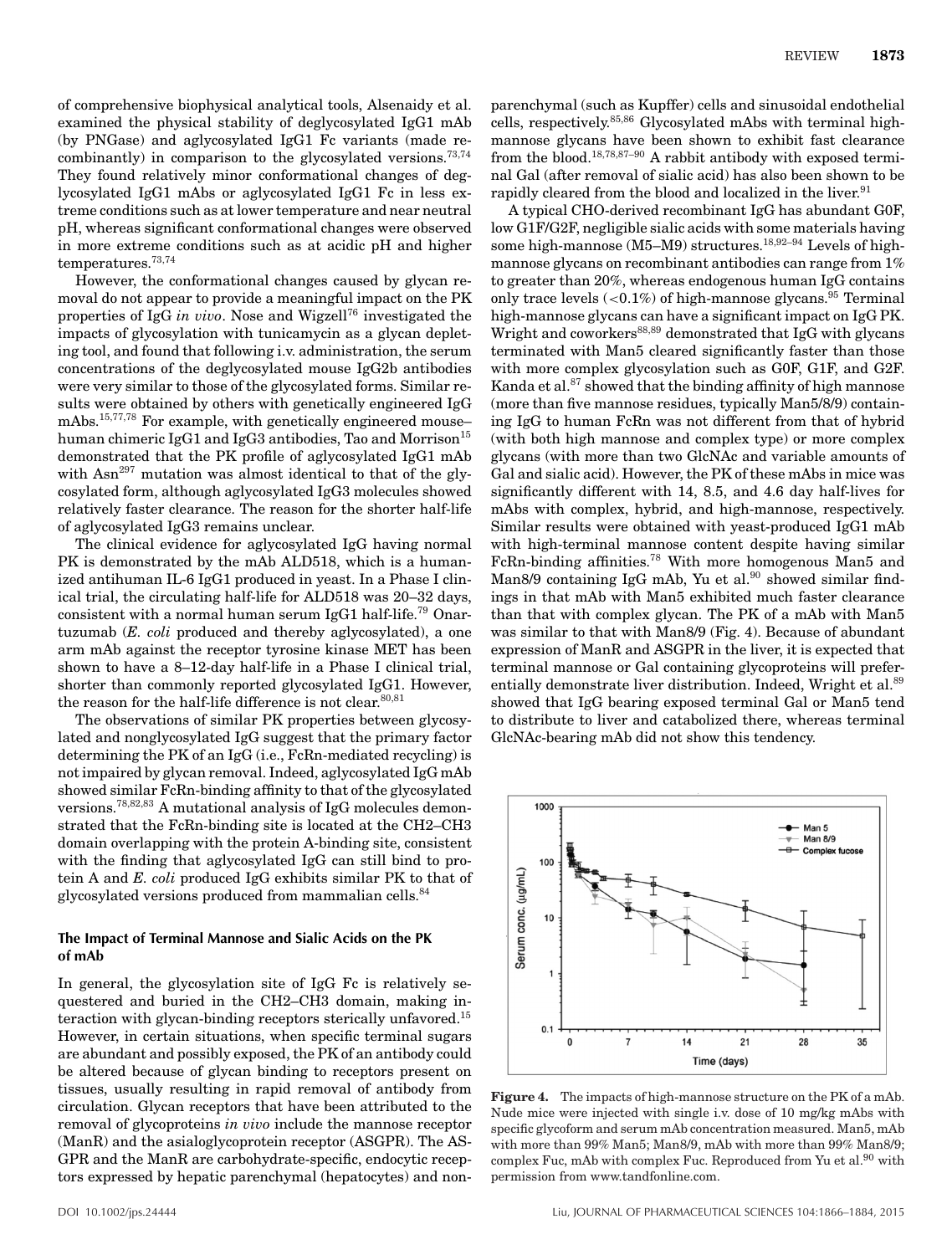of comprehensive biophysical analytical tools, Alsenaidy et al. examined the physical stability of deglycosylated IgG1 mAb (by PNGase) and aglycosylated IgG1 Fc variants (made recombinantly) in comparison to the glycosylated versions.<sup>73,74</sup> They found relatively minor conformational changes of deglycosylated IgG1 mAbs or aglycosylated IgG1 Fc in less extreme conditions such as at lower temperature and near neutral pH, whereas significant conformational changes were observed in more extreme conditions such as at acidic pH and higher temperatures.73,74

However, the conformational changes caused by glycan removal do not appear to provide a meaningful impact on the PK properties of IgG *in vivo*. Nose and Wigzell<sup>76</sup> investigated the impacts of glycosylation with tunicamycin as a glycan depleting tool, and found that following i.v. administration, the serum concentrations of the deglycosylated mouse IgG2b antibodies were very similar to those of the glycosylated forms. Similar results were obtained by others with genetically engineered IgG mAbs.15,77,78 For example, with genetically engineered mouse– human chimeric IgG1 and IgG3 antibodies, Tao and Morrison<sup>15</sup> demonstrated that the PK profile of aglycosylated IgG1 mAb with Asn<sup>297</sup> mutation was almost identical to that of the glycosylated form, although aglycosylated IgG3 molecules showed relatively faster clearance. The reason for the shorter half-life of aglycosylated IgG3 remains unclear.

The clinical evidence for aglycosylated IgG having normal PK is demonstrated by the mAb ALD518, which is a humanized antihuman IL-6 IgG1 produced in yeast. In a Phase I clinical trial, the circulating half-life for ALD518 was 20–32 days, consistent with a normal human serum IgG1 half-life.<sup>79</sup> Onartuzumab (*E. coli* produced and thereby aglycosylated), a one arm mAb against the receptor tyrosine kinase MET has been shown to have a 8–12-day half-life in a Phase I clinical trial, shorter than commonly reported glycosylated IgG1. However, the reason for the half-life difference is not clear.  $80,81$ 

The observations of similar PK properties between glycosylated and nonglycosylated IgG suggest that the primary factor determining the PK of an IgG (i.e., FcRn-mediated recycling) is not impaired by glycan removal. Indeed, aglycosylated IgG mAb showed similar FcRn-binding affinity to that of the glycosylated versions.78,82,83 A mutational analysis of IgG molecules demonstrated that the FcRn-binding site is located at the CH2–CH3 domain overlapping with the protein A-binding site, consistent with the finding that aglycosylated IgG can still bind to protein A and *E. coli* produced IgG exhibits similar PK to that of glycosylated versions produced from mammalian cells.<sup>84</sup>

#### **The Impact of Terminal Mannose and Sialic Acids on the PK of mAb**

In general, the glycosylation site of IgG Fc is relatively sequestered and buried in the CH2–CH3 domain, making interaction with glycan-binding receptors sterically unfavored.<sup>15</sup> However, in certain situations, when specific terminal sugars are abundant and possibly exposed, the PK of an antibody could be altered because of glycan binding to receptors present on tissues, usually resulting in rapid removal of antibody from circulation. Glycan receptors that have been attributed to the removal of glycoproteins *in vivo* include the mannose receptor (ManR) and the asialoglycoprotein receptor (ASGPR). The AS-GPR and the ManR are carbohydrate-specific, endocytic receptors expressed by hepatic parenchymal (hepatocytes) and non-

parenchymal (such as Kupffer) cells and sinusoidal endothelial cells, respectively.85,86 Glycosylated mAbs with terminal highmannose glycans have been shown to exhibit fast clearance from the blood.18,78,87–90 A rabbit antibody with exposed terminal Gal (after removal of sialic acid) has also been shown to be rapidly cleared from the blood and localized in the liver.<sup>91</sup>

A typical CHO-derived recombinant IgG has abundant G0F, low G1F/G2F, negligible sialic acids with some materials having some high-mannose (M5–M9) structures.<sup>18,92–94</sup> Levels of highmannose glycans on recombinant antibodies can range from 1% to greater than 20%, whereas endogenous human IgG contains only trace levels  $(<0.1\%)$  of high-mannose glycans.<sup>95</sup> Terminal high-mannose glycans can have a significant impact on IgG PK. Wright and coworkers<sup>88,89</sup> demonstrated that IgG with glycans terminated with Man5 cleared significantly faster than those with more complex glycosylation such as G0F, G1F, and G2F. Kanda et al.<sup>87</sup> showed that the binding affinity of high mannose (more than five mannose residues, typically Man5/8/9) containing IgG to human FcRn was not different from that of hybrid (with both high mannose and complex type) or more complex glycans (with more than two GlcNAc and variable amounts of Gal and sialic acid). However, the PK of these mAbs in mice was significantly different with 14, 8.5, and 4.6 day half-lives for mAbs with complex, hybrid, and high-mannose, respectively. Similar results were obtained with yeast-produced IgG1 mAb with high-terminal mannose content despite having similar FcRn-binding affinities.78 With more homogenous Man5 and Man8/9 containing IgG mAb, Yu et al.<sup>90</sup> showed similar findings in that mAb with Man5 exhibited much faster clearance than that with complex glycan. The PK of a mAb with Man5 was similar to that with Man8/9 (Fig. 4). Because of abundant expression of ManR and ASGPR in the liver, it is expected that terminal mannose or Gal containing glycoproteins will preferentially demonstrate liver distribution. Indeed, Wright et al.<sup>89</sup> showed that IgG bearing exposed terminal Gal or Man5 tend to distribute to liver and catabolized there, whereas terminal GlcNAc-bearing mAb did not show this tendency.



**Figure 4.** The impacts of high-mannose structure on the PK of a mAb. Nude mice were injected with single i.v. dose of 10 mg/kg mAbs with specific glycoform and serum mAb concentration measured. Man5, mAb with more than 99% Man5; Man8/9, mAb with more than 99% Man8/9; complex Fuc, mAb with complex Fuc. Reproduced from Yu et al. $90$  with permission from www.tandfonline.com.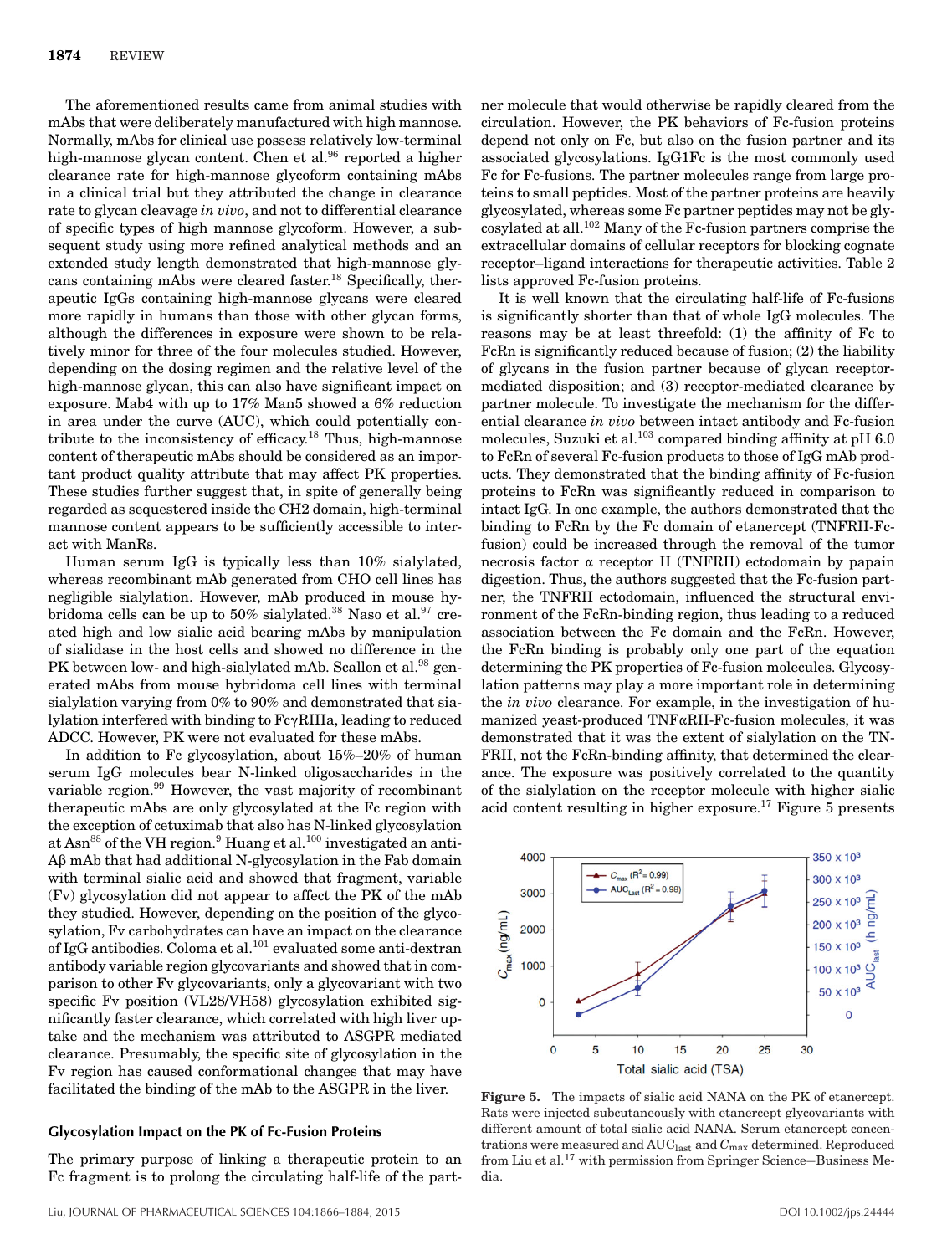The aforementioned results came from animal studies with mAbs that were deliberately manufactured with high mannose. Normally, mAbs for clinical use possess relatively low-terminal high-mannose glycan content. Chen et al.<sup>96</sup> reported a higher clearance rate for high-mannose glycoform containing mAbs in a clinical trial but they attributed the change in clearance rate to glycan cleavage *in vivo*, and not to differential clearance of specific types of high mannose glycoform. However, a subsequent study using more refined analytical methods and an extended study length demonstrated that high-mannose glycans containing mAbs were cleared faster.18 Specifically, therapeutic IgGs containing high-mannose glycans were cleared more rapidly in humans than those with other glycan forms, although the differences in exposure were shown to be relatively minor for three of the four molecules studied. However, depending on the dosing regimen and the relative level of the high-mannose glycan, this can also have significant impact on exposure. Mab4 with up to 17% Man5 showed a 6% reduction in area under the curve (AUC), which could potentially contribute to the inconsistency of efficacy.<sup>18</sup> Thus, high-mannose content of therapeutic mAbs should be considered as an important product quality attribute that may affect PK properties. These studies further suggest that, in spite of generally being regarded as sequestered inside the CH2 domain, high-terminal mannose content appears to be sufficiently accessible to interact with ManRs.

Human serum IgG is typically less than 10% sialylated, whereas recombinant mAb generated from CHO cell lines has negligible sialylation. However, mAb produced in mouse hybridoma cells can be up to 50% sialylated.<sup>38</sup> Naso et al.<sup>97</sup> created high and low sialic acid bearing mAbs by manipulation of sialidase in the host cells and showed no difference in the PK between low- and high-sialylated mAb. Scallon et al.<sup>98</sup> generated mAbs from mouse hybridoma cell lines with terminal sialylation varying from 0% to 90% and demonstrated that sialylation interfered with binding to FcyRIIIa, leading to reduced ADCC. However, PK were not evaluated for these mAbs.

In addition to Fc glycosylation, about 15%–20% of human serum IgG molecules bear N-linked oligosaccharides in the variable region.99 However, the vast majority of recombinant therapeutic mAbs are only glycosylated at the Fc region with the exception of cetuximab that also has N-linked glycosylation at Asn<sup>88</sup> of the VH region.<sup>9</sup> Huang et al.<sup>100</sup> investigated an anti- $A\beta$  mAb that had additional N-glycosylation in the Fab domain with terminal sialic acid and showed that fragment, variable (Fv) glycosylation did not appear to affect the PK of the mAb they studied. However, depending on the position of the glycosylation, Fv carbohydrates can have an impact on the clearance of IgG antibodies. Coloma et al.101 evaluated some anti-dextran antibody variable region glycovariants and showed that in comparison to other Fv glycovariants, only a glycovariant with two specific Fv position (VL28/VH58) glycosylation exhibited significantly faster clearance, which correlated with high liver uptake and the mechanism was attributed to ASGPR mediated clearance. Presumably, the specific site of glycosylation in the Fv region has caused conformational changes that may have facilitated the binding of the mAb to the ASGPR in the liver.

#### **Glycosylation Impact on the PK of Fc-Fusion Proteins**

The primary purpose of linking a therapeutic protein to an Fc fragment is to prolong the circulating half-life of the part-

ner molecule that would otherwise be rapidly cleared from the circulation. However, the PK behaviors of Fc-fusion proteins depend not only on Fc, but also on the fusion partner and its associated glycosylations. IgG1Fc is the most commonly used Fc for Fc-fusions. The partner molecules range from large proteins to small peptides. Most of the partner proteins are heavily glycosylated, whereas some Fc partner peptides may not be glycosylated at all.102 Many of the Fc-fusion partners comprise the extracellular domains of cellular receptors for blocking cognate receptor–ligand interactions for therapeutic activities. Table 2 lists approved Fc-fusion proteins.

It is well known that the circulating half-life of Fc-fusions is significantly shorter than that of whole IgG molecules. The reasons may be at least threefold: (1) the affinity of Fc to FcRn is significantly reduced because of fusion; (2) the liability of glycans in the fusion partner because of glycan receptormediated disposition; and (3) receptor-mediated clearance by partner molecule. To investigate the mechanism for the differential clearance *in vivo* between intact antibody and Fc-fusion molecules, Suzuki et al.<sup>103</sup> compared binding affinity at pH 6.0 to FcRn of several Fc-fusion products to those of IgG mAb products. They demonstrated that the binding affinity of Fc-fusion proteins to FcRn was significantly reduced in comparison to intact IgG. In one example, the authors demonstrated that the binding to FcRn by the Fc domain of etanercept (TNFRII-Fcfusion) could be increased through the removal of the tumor necrosis factor  $\alpha$  receptor II (TNFRII) ectodomain by papain digestion. Thus, the authors suggested that the Fc-fusion partner, the TNFRII ectodomain, influenced the structural environment of the FcRn-binding region, thus leading to a reduced association between the Fc domain and the FcRn. However, the FcRn binding is probably only one part of the equation determining the PK properties of Fc-fusion molecules. Glycosylation patterns may play a more important role in determining the *in vivo* clearance. For example, in the investigation of humanized yeast-produced  $TNF\alpha RII-Fc$ -fusion molecules, it was demonstrated that it was the extent of sialylation on the TN-FRII, not the FcRn-binding affinity, that determined the clearance. The exposure was positively correlated to the quantity of the sialylation on the receptor molecule with higher sialic acid content resulting in higher exposure.<sup>17</sup> Figure 5 presents



**Figure 5.** The impacts of sialic acid NANA on the PK of etanercept. Rats were injected subcutaneously with etanercept glycovariants with different amount of total sialic acid NANA. Serum etanercept concentrations were measured and AUClast and *C*max determined. Reproduced from Liu et al. $^{17}$  with permission from Springer Science+Business Media.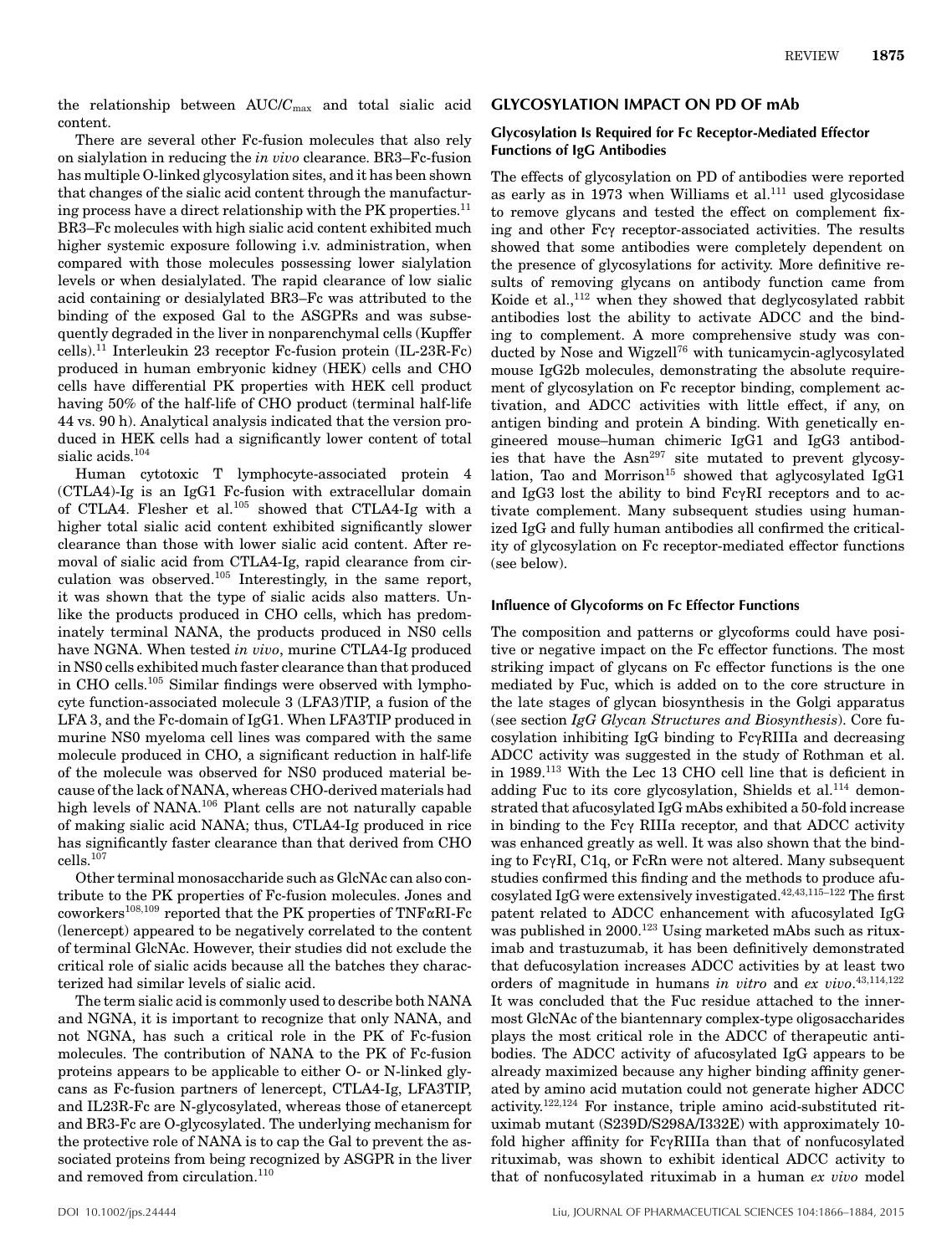the relationship between AUC/*C*max and total sialic acid content.

There are several other Fc-fusion molecules that also rely on sialylation in reducing the *in vivo* clearance. BR3–Fc-fusion has multiple O-linked glycosylation sites, and it has been shown that changes of the sialic acid content through the manufacturing process have a direct relationship with the PK properties. $^{11}$ BR3–Fc molecules with high sialic acid content exhibited much higher systemic exposure following i.v. administration, when compared with those molecules possessing lower sialylation levels or when desialylated. The rapid clearance of low sialic acid containing or desialylated BR3–Fc was attributed to the binding of the exposed Gal to the ASGPRs and was subsequently degraded in the liver in nonparenchymal cells (Kupffer cells).11 Interleukin 23 receptor Fc-fusion protein (IL-23R-Fc) produced in human embryonic kidney (HEK) cells and CHO cells have differential PK properties with HEK cell product having 50% of the half-life of CHO product (terminal half-life 44 vs. 90 h). Analytical analysis indicated that the version produced in HEK cells had a significantly lower content of total sialic acids.<sup>104</sup>

Human cytotoxic T lymphocyte-associated protein 4 (CTLA4)-Ig is an IgG1 Fc-fusion with extracellular domain of CTLA4. Flesher et al.<sup>105</sup> showed that CTLA4-Ig with a higher total sialic acid content exhibited significantly slower clearance than those with lower sialic acid content. After removal of sialic acid from CTLA4-Ig, rapid clearance from circulation was observed.105 Interestingly, in the same report, it was shown that the type of sialic acids also matters. Unlike the products produced in CHO cells, which has predominately terminal NANA, the products produced in NS0 cells have NGNA. When tested *in vivo*, murine CTLA4-Ig produced in NS0 cells exhibited much faster clearance than that produced in CHO cells.<sup>105</sup> Similar findings were observed with lymphocyte function-associated molecule 3 (LFA3)TIP, a fusion of the LFA 3, and the Fc-domain of IgG1. When LFA3TIP produced in murine NS0 myeloma cell lines was compared with the same molecule produced in CHO, a significant reduction in half-life of the molecule was observed for NS0 produced material because of the lack of NANA, whereas CHO-derived materials had high levels of NANA.<sup>106</sup> Plant cells are not naturally capable of making sialic acid NANA; thus, CTLA4-Ig produced in rice has significantly faster clearance than that derived from CHO  $\rm{cells.}^{107}$ 

Other terminal monosaccharide such as GlcNAc can also contribute to the PK properties of Fc-fusion molecules. Jones and coworkers<sup>108,109</sup> reported that the PK properties of TNF $\alpha$ RI-Fc (lenercept) appeared to be negatively correlated to the content of terminal GlcNAc. However, their studies did not exclude the critical role of sialic acids because all the batches they characterized had similar levels of sialic acid.

The term sialic acid is commonly used to describe both NANA and NGNA, it is important to recognize that only NANA, and not NGNA, has such a critical role in the PK of Fc-fusion molecules. The contribution of NANA to the PK of Fc-fusion proteins appears to be applicable to either O- or N-linked glycans as Fc-fusion partners of lenercept, CTLA4-Ig, LFA3TIP, and IL23R-Fc are N-glycosylated, whereas those of etanercept and BR3-Fc are O-glycosylated. The underlying mechanism for the protective role of NANA is to cap the Gal to prevent the associated proteins from being recognized by ASGPR in the liver and removed from circulation.<sup>110</sup>

### **GLYCOSYLATION IMPACT ON PD OF mAb**

#### **Glycosylation Is Required for Fc Receptor-Mediated Effector Functions of IgG Antibodies**

The effects of glycosylation on PD of antibodies were reported as early as in 1973 when Williams et al. $^{111}$  used glycosidase to remove glycans and tested the effect on complement fixing and other Fc<sub>v</sub> receptor-associated activities. The results showed that some antibodies were completely dependent on the presence of glycosylations for activity. More definitive results of removing glycans on antibody function came from Koide et al.,<sup>112</sup> when they showed that deglycosylated rabbit antibodies lost the ability to activate ADCC and the binding to complement. A more comprehensive study was conducted by Nose and Wigzell<sup>76</sup> with tunicamycin-aglycosylated mouse IgG2b molecules, demonstrating the absolute requirement of glycosylation on Fc receptor binding, complement activation, and ADCC activities with little effect, if any, on antigen binding and protein A binding. With genetically engineered mouse–human chimeric IgG1 and IgG3 antibodies that have the  $\text{Asn}^{297}$  site mutated to prevent glycosylation, Tao and Morrison<sup>15</sup> showed that aglycosylated IgG1 and IgG3 lost the ability to bind  $Fc\gamma RI$  receptors and to activate complement. Many subsequent studies using humanized IgG and fully human antibodies all confirmed the criticality of glycosylation on Fc receptor-mediated effector functions (see below).

#### **Influence of Glycoforms on Fc Effector Functions**

The composition and patterns or glycoforms could have positive or negative impact on the Fc effector functions. The most striking impact of glycans on Fc effector functions is the one mediated by Fuc, which is added on to the core structure in the late stages of glycan biosynthesis in the Golgi apparatus (see section *IgG Glycan Structures and Biosynthesis*). Core fucosylation inhibiting IgG binding to  $Fc\gamma RIII$ a and decreasing ADCC activity was suggested in the study of Rothman et al. in 1989.113 With the Lec 13 CHO cell line that is deficient in adding Fuc to its core glycosylation, Shields et al.<sup>114</sup> demonstrated that afucosylated IgG mAbs exhibited a 50-fold increase in binding to the Fc $\gamma$  RIIIa receptor, and that ADCC activity was enhanced greatly as well. It was also shown that the binding to FcyRI, C1q, or FcRn were not altered. Many subsequent studies confirmed this finding and the methods to produce afucosylated IgG were extensively investigated.42,43,115–122 The first patent related to ADCC enhancement with afucosylated IgG was published in 2000.<sup>123</sup> Using marketed mAbs such as rituximab and trastuzumab, it has been definitively demonstrated that defucosylation increases ADCC activities by at least two orders of magnitude in humans *in vitro* and *ex vivo*. 43,114,122 It was concluded that the Fuc residue attached to the innermost GlcNAc of the biantennary complex-type oligosaccharides plays the most critical role in the ADCC of therapeutic antibodies. The ADCC activity of afucosylated IgG appears to be already maximized because any higher binding affinity generated by amino acid mutation could not generate higher ADCC activity.122,124 For instance, triple amino acid-substituted rituximab mutant (S239D/S298A/I332E) with approximately 10 fold higher affinity for  $Fc\gamma RIII$ a than that of nonfucosylated rituximab, was shown to exhibit identical ADCC activity to that of nonfucosylated rituximab in a human *ex vivo* model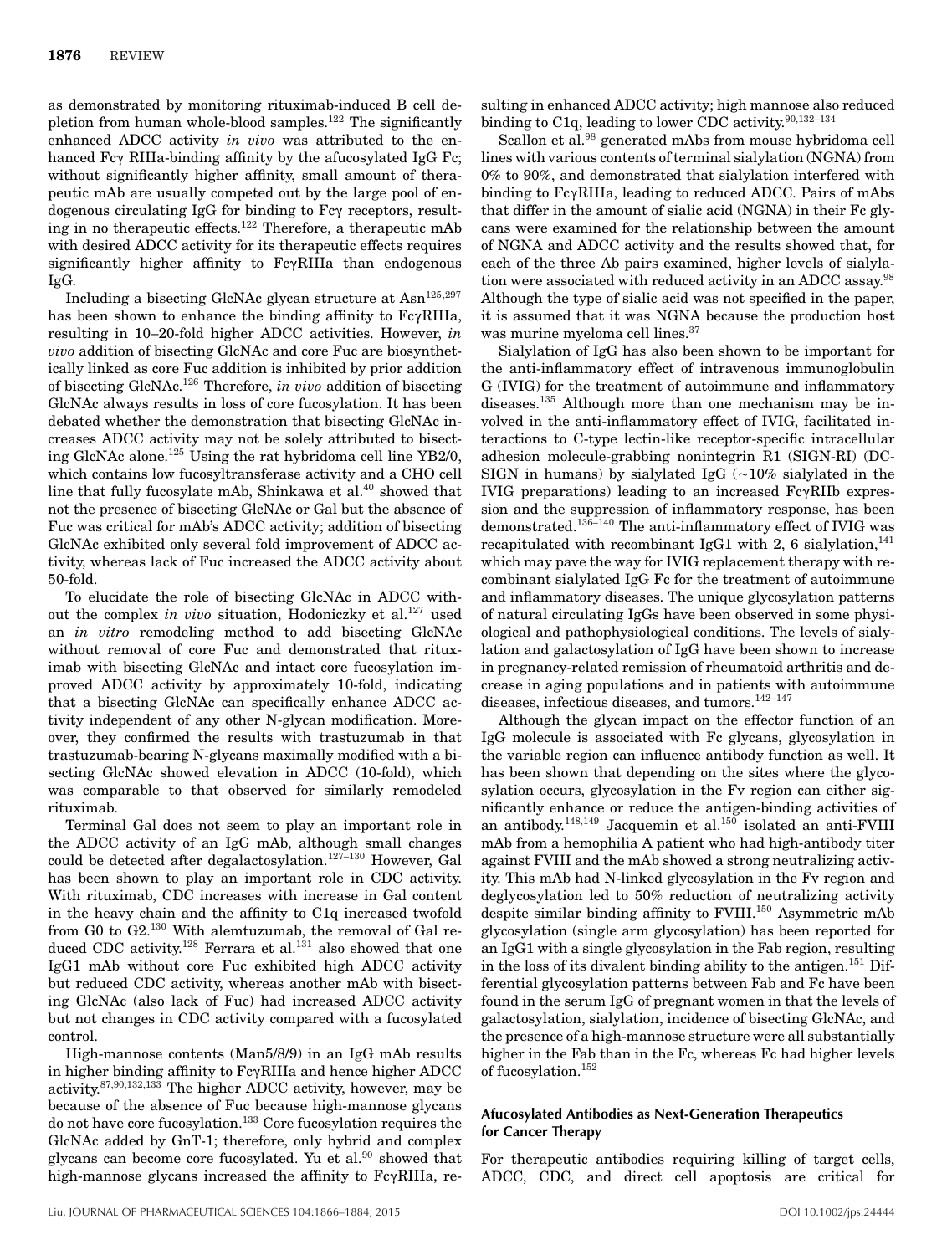as demonstrated by monitoring rituximab-induced B cell depletion from human whole-blood samples.<sup>122</sup> The significantly enhanced ADCC activity *in vivo* was attributed to the enhanced  $Fc\gamma$  RIIIa-binding affinity by the afucosylated IgG Fc; without significantly higher affinity, small amount of therapeutic mAb are usually competed out by the large pool of endogenous circulating IgG for binding to  $Fc\gamma$  receptors, resulting in no therapeutic effects.<sup>122</sup> Therefore, a therapeutic mAb with desired ADCC activity for its therapeutic effects requires significantly higher affinity to  $Fc\gamma RIIIa$  than endogenous IgG.

Including a bisecting GlcNAc glycan structure at Asn<sup>125,297</sup> has been shown to enhance the binding affinity to  $Fc\gamma RIIIa$ , resulting in 10–20-fold higher ADCC activities. However, *in vivo* addition of bisecting GlcNAc and core Fuc are biosynthetically linked as core Fuc addition is inhibited by prior addition of bisecting GlcNAc.126 Therefore, *in vivo* addition of bisecting GlcNAc always results in loss of core fucosylation. It has been debated whether the demonstration that bisecting GlcNAc increases ADCC activity may not be solely attributed to bisecting GlcNAc alone.125 Using the rat hybridoma cell line YB2/0, which contains low fucosyltransferase activity and a CHO cell line that fully fucosylate mAb, Shinkawa et al.<sup>40</sup> showed that not the presence of bisecting GlcNAc or Gal but the absence of Fuc was critical for mAb's ADCC activity; addition of bisecting GlcNAc exhibited only several fold improvement of ADCC activity, whereas lack of Fuc increased the ADCC activity about 50-fold.

To elucidate the role of bisecting GlcNAc in ADCC without the complex *in vivo* situation, Hodoniczky et al.<sup>127</sup> used an *in vitro* remodeling method to add bisecting GlcNAc without removal of core Fuc and demonstrated that rituximab with bisecting GlcNAc and intact core fucosylation improved ADCC activity by approximately 10-fold, indicating that a bisecting GlcNAc can specifically enhance ADCC activity independent of any other N-glycan modification. Moreover, they confirmed the results with trastuzumab in that trastuzumab-bearing N-glycans maximally modified with a bisecting GlcNAc showed elevation in ADCC (10-fold), which was comparable to that observed for similarly remodeled rituximab.

Terminal Gal does not seem to play an important role in the ADCC activity of an IgG mAb, although small changes could be detected after degalactosylation.<sup>127-130</sup> However, Gal has been shown to play an important role in CDC activity. With rituximab, CDC increases with increase in Gal content in the heavy chain and the affinity to C1q increased twofold from G0 to G2.130 With alemtuzumab, the removal of Gal reduced CDC activity.<sup>128</sup> Ferrara et al.<sup>131</sup> also showed that one IgG1 mAb without core Fuc exhibited high ADCC activity but reduced CDC activity, whereas another mAb with bisecting GlcNAc (also lack of Fuc) had increased ADCC activity but not changes in CDC activity compared with a fucosylated control.

High-mannose contents (Man5/8/9) in an IgG mAb results in higher binding affinity to  $Fe\gamma$ RIIIa and hence higher ADCC activity.87,90,132,133 The higher ADCC activity, however, may be because of the absence of Fuc because high-mannose glycans do not have core fucosylation.133 Core fucosylation requires the GlcNAc added by GnT-1; therefore, only hybrid and complex glycans can become core fucosylated. Yu et al.<sup>90</sup> showed that high-mannose glycans increased the affinity to  $Fc\gamma RIIIa$ , resulting in enhanced ADCC activity; high mannose also reduced binding to C1q, leading to lower CDC activity.  $90,132-134$ 

Scallon et al.<sup>98</sup> generated mAbs from mouse hybridoma cell lines with various contents of terminal sialylation (NGNA) from 0% to 90%, and demonstrated that sialylation interfered with binding to FcyRIIIa, leading to reduced ADCC. Pairs of mAbs that differ in the amount of sialic acid (NGNA) in their Fc glycans were examined for the relationship between the amount of NGNA and ADCC activity and the results showed that, for each of the three Ab pairs examined, higher levels of sialylation were associated with reduced activity in an ADCC assay.<sup>98</sup> Although the type of sialic acid was not specified in the paper, it is assumed that it was NGNA because the production host was murine myeloma cell lines.37

Sialylation of IgG has also been shown to be important for the anti-inflammatory effect of intravenous immunoglobulin G (IVIG) for the treatment of autoimmune and inflammatory diseases.135 Although more than one mechanism may be involved in the anti-inflammatory effect of IVIG, facilitated interactions to C-type lectin-like receptor-specific intracellular adhesion molecule-grabbing nonintegrin R1 (SIGN-RI) (DC-SIGN in humans) by sialylated IgG  $(\sim 10\%$  sialylated in the IVIG preparations) leading to an increased  $Fc\gamma RIIb$  expression and the suppression of inflammatory response, has been demonstrated.136–140 The anti-inflammatory effect of IVIG was recapitulated with recombinant IgG1 with 2, 6 sialylation, $^{141}$ which may pave the way for IVIG replacement therapy with recombinant sialylated IgG Fc for the treatment of autoimmune and inflammatory diseases. The unique glycosylation patterns of natural circulating IgGs have been observed in some physiological and pathophysiological conditions. The levels of sialylation and galactosylation of IgG have been shown to increase in pregnancy-related remission of rheumatoid arthritis and decrease in aging populations and in patients with autoimmune diseases, infectious diseases, and  $\rm{tumors.}^{142-147}$ 

Although the glycan impact on the effector function of an IgG molecule is associated with Fc glycans, glycosylation in the variable region can influence antibody function as well. It has been shown that depending on the sites where the glycosylation occurs, glycosylation in the Fv region can either significantly enhance or reduce the antigen-binding activities of an antibody.<sup>148,149</sup> Jacquemin et al.<sup>150</sup> isolated an anti-FVIII mAb from a hemophilia A patient who had high-antibody titer against FVIII and the mAb showed a strong neutralizing activity. This mAb had N-linked glycosylation in the Fv region and deglycosylation led to 50% reduction of neutralizing activity despite similar binding affinity to FVIII.<sup>150</sup> Asymmetric mAb glycosylation (single arm glycosylation) has been reported for an IgG1 with a single glycosylation in the Fab region, resulting in the loss of its divalent binding ability to the antigen.<sup>151</sup> Differential glycosylation patterns between Fab and Fc have been found in the serum IgG of pregnant women in that the levels of galactosylation, sialylation, incidence of bisecting GlcNAc, and the presence of a high-mannose structure were all substantially higher in the Fab than in the Fc, whereas Fc had higher levels of fucosylation.152

#### **Afucosylated Antibodies as Next-Generation Therapeutics for Cancer Therapy**

For therapeutic antibodies requiring killing of target cells, ADCC, CDC, and direct cell apoptosis are critical for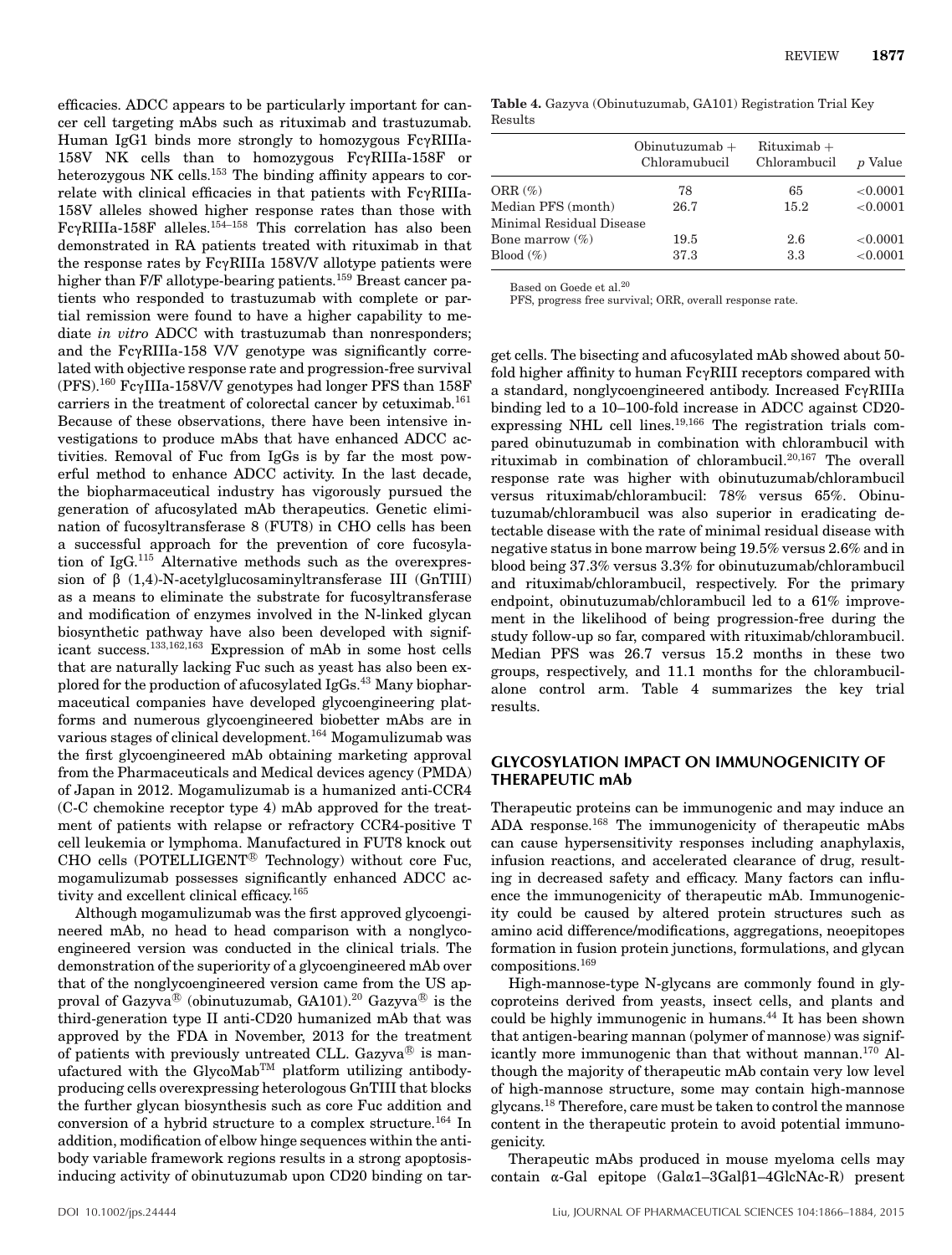efficacies. ADCC appears to be particularly important for cancer cell targeting mAbs such as rituximab and trastuzumab. Human IgG1 binds more strongly to homozygous  $Fc\gamma RIIIa-$ 158V NK cells than to homozygous  $Fc\gamma RIIIa-158F$  or heterozygous NK cells.<sup>153</sup> The binding affinity appears to correlate with clinical efficacies in that patients with  $Fc\gamma RIIIa-$ 158V alleles showed higher response rates than those with  $Fc\gamma RIIIa-158F$  alleles.<sup>154-158</sup> This correlation has also been demonstrated in RA patients treated with rituximab in that the response rates by  $Fc\gamma RIIIa$  158V/V allotype patients were higher than F/F allotype-bearing patients.<sup>159</sup> Breast cancer patients who responded to trastuzumab with complete or partial remission were found to have a higher capability to mediate *in vitro* ADCC with trastuzumab than nonresponders; and the  $Fe\gamma RIIIa-158$  V/V genotype was significantly correlated with objective response rate and progression-free survival (PFS).<sup>160</sup> Fc $\gamma$ IIIa-158V/V genotypes had longer PFS than 158F carriers in the treatment of colorectal cancer by cetuximab.161 Because of these observations, there have been intensive investigations to produce mAbs that have enhanced ADCC activities. Removal of Fuc from IgGs is by far the most powerful method to enhance ADCC activity. In the last decade, the biopharmaceutical industry has vigorously pursued the generation of afucosylated mAb therapeutics. Genetic elimination of fucosyltransferase 8 (FUT8) in CHO cells has been a successful approach for the prevention of core fucosylation of IgG.115 Alternative methods such as the overexpression of  $\beta$  (1,4)-N-acetylglucosaminyltransferase III (GnTIII) as a means to eliminate the substrate for fucosyltransferase and modification of enzymes involved in the N-linked glycan biosynthetic pathway have also been developed with significant success.133,162,163 Expression of mAb in some host cells that are naturally lacking Fuc such as yeast has also been explored for the production of afucosylated IgGs.<sup>43</sup> Many biopharmaceutical companies have developed glycoengineering platforms and numerous glycoengineered biobetter mAbs are in various stages of clinical development.<sup>164</sup> Mogamulizumab was the first glycoengineered mAb obtaining marketing approval from the Pharmaceuticals and Medical devices agency (PMDA) of Japan in 2012. Mogamulizumab is a humanized anti-CCR4 (C-C chemokine receptor type 4) mAb approved for the treatment of patients with relapse or refractory CCR4-positive T cell leukemia or lymphoma. Manufactured in FUT8 knock out CHO cells (POTELLIGENT<sup>®</sup> Technology) without core Fuc, mogamulizumab possesses significantly enhanced ADCC activity and excellent clinical efficacy.<sup>165</sup>

Although mogamulizumab was the first approved glycoengineered mAb, no head to head comparison with a nonglycoengineered version was conducted in the clinical trials. The demonstration of the superiority of a glycoengineered mAb over that of the nonglycoengineered version came from the US approval of Gazyva® (obinutuzumab, GA101). $^{20}$  Gazyva® is the third-generation type II anti-CD20 humanized mAb that was approved by the FDA in November, 2013 for the treatment of patients with previously untreated CLL. Gazyva $^{\circledR}$  is manufactured with the GlycoMab<sup>TM</sup> platform utilizing antibodyproducing cells overexpressing heterologous GnTIII that blocks the further glycan biosynthesis such as core Fuc addition and conversion of a hybrid structure to a complex structure.<sup>164</sup> In addition, modification of elbow hinge sequences within the antibody variable framework regions results in a strong apoptosisinducing activity of obinutuzumab upon CD20 binding on tar-

**Table 4.** Gazyva (Obinutuzumab, GA101) Registration Trial Key Results

|                          | Obinutuzumab $+$<br>Chloramubucil | $Rituximab +$<br>Chlorambucil | <i>p</i> Value |
|--------------------------|-----------------------------------|-------------------------------|----------------|
| ORR $(\%)$               | 78                                | 65                            | ${<}0.0001$    |
| Median PFS (month)       | 26.7                              | 15.2                          | ${<}0.0001$    |
| Minimal Residual Disease |                                   |                               |                |
| Bone marrow $(\%)$       | 19.5                              | 2.6                           | ${<}0.0001$    |
| Blood $(\%)$             | 37.3                              | 3.3                           | ${<}0.0001$    |

Based on Goede et al.<sup>20</sup>

PFS, progress free survival; ORR, overall response rate.

get cells. The bisecting and afucosylated mAb showed about 50 fold higher affinity to human  $Fc\gamma RIII$  receptors compared with a standard, nonglycoengineered antibody. Increased  $Fc\gamma RIIIa$ binding led to a 10–100-fold increase in ADCC against CD20 expressing NHL cell lines.<sup>19,166</sup> The registration trials compared obinutuzumab in combination with chlorambucil with rituximab in combination of chlorambucil.20,167 The overall response rate was higher with obinutuzumab/chlorambucil versus rituximab/chlorambucil: 78% versus 65%. Obinutuzumab/chlorambucil was also superior in eradicating detectable disease with the rate of minimal residual disease with negative status in bone marrow being 19.5% versus 2.6% and in blood being 37.3% versus 3.3% for obinutuzumab/chlorambucil and rituximab/chlorambucil, respectively. For the primary endpoint, obinutuzumab/chlorambucil led to a 61% improvement in the likelihood of being progression-free during the study follow-up so far, compared with rituximab/chlorambucil. Median PFS was 26.7 versus 15.2 months in these two groups, respectively, and 11.1 months for the chlorambucilalone control arm. Table 4 summarizes the key trial results.

#### **GLYCOSYLATION IMPACT ON IMMUNOGENICITY OF THERAPEUTIC mAb**

Therapeutic proteins can be immunogenic and may induce an ADA response.168 The immunogenicity of therapeutic mAbs can cause hypersensitivity responses including anaphylaxis, infusion reactions, and accelerated clearance of drug, resulting in decreased safety and efficacy. Many factors can influence the immunogenicity of therapeutic mAb. Immunogenicity could be caused by altered protein structures such as amino acid difference/modifications, aggregations, neoepitopes formation in fusion protein junctions, formulations, and glycan compositions.<sup>169</sup>

High-mannose-type N-glycans are commonly found in glycoproteins derived from yeasts, insect cells, and plants and could be highly immunogenic in humans.<sup>44</sup> It has been shown that antigen-bearing mannan (polymer of mannose) was significantly more immunogenic than that without mannan.<sup>170</sup> Although the majority of therapeutic mAb contain very low level of high-mannose structure, some may contain high-mannose glycans.18 Therefore, care must be taken to control the mannose content in the therapeutic protein to avoid potential immunogenicity.

Therapeutic mAbs produced in mouse myeloma cells may contain  $\alpha$ -Gal epitope (Gal $\alpha$ 1–3Gal $\beta$ 1–4GlcNAc-R) present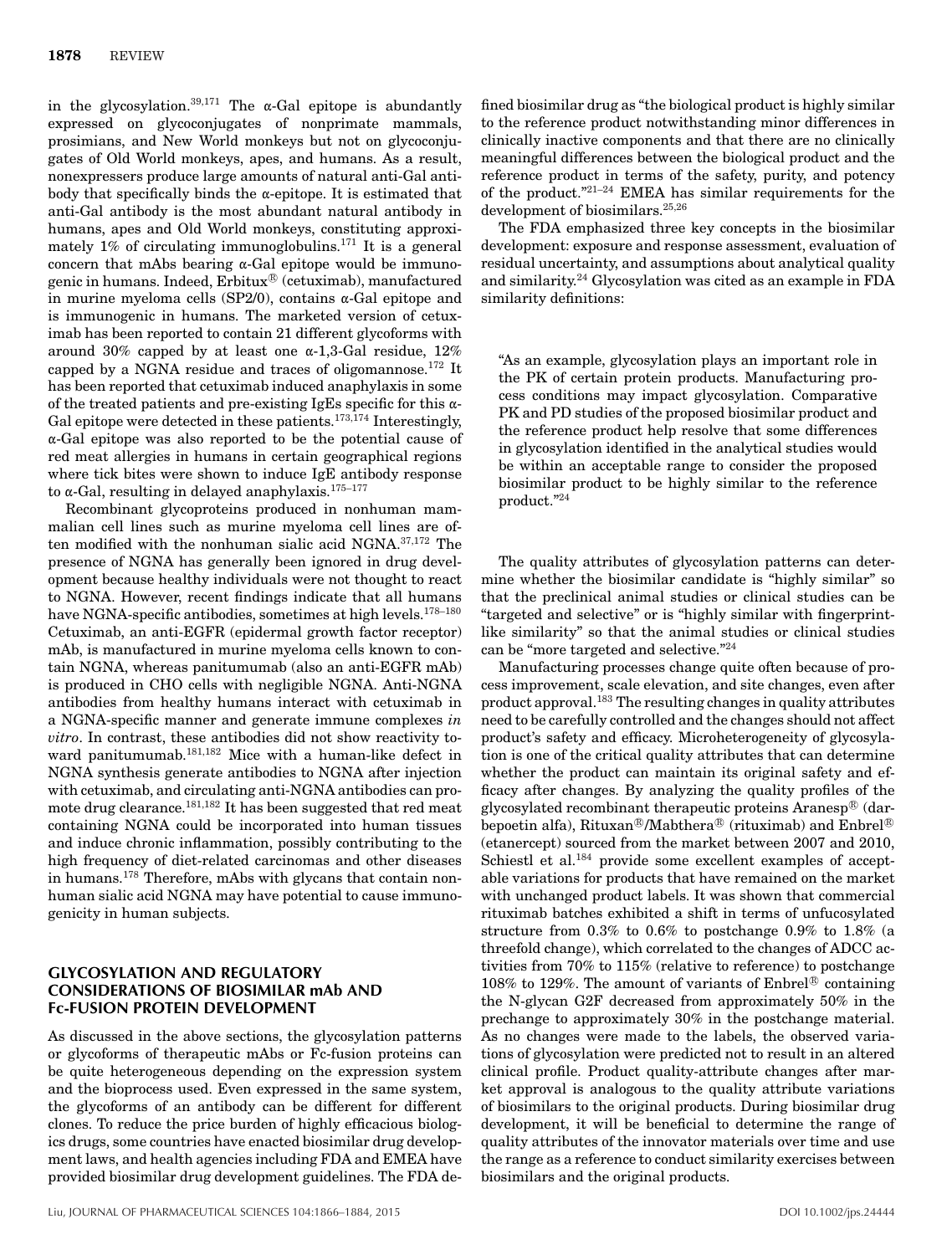in the glycosylation.<sup>39,171</sup> The  $\alpha$ -Gal epitope is abundantly expressed on glycoconjugates of nonprimate mammals, prosimians, and New World monkeys but not on glycoconjugates of Old World monkeys, apes, and humans. As a result, nonexpressers produce large amounts of natural anti-Gal antibody that specifically binds the  $\alpha$ -epitope. It is estimated that anti-Gal antibody is the most abundant natural antibody in humans, apes and Old World monkeys, constituting approximately 1% of circulating immunoglobulins.<sup>171</sup> It is a general concern that mAbs bearing  $\alpha$ -Gal epitope would be immunogenic in humans. Indeed,  $\mathrm{Erbitux}^{\scriptsize\textcircled{\tiny R}}$  (cetuximab), manufactured in murine myeloma cells (SP2/0), contains  $\alpha$ -Gal epitope and is immunogenic in humans. The marketed version of cetuximab has been reported to contain 21 different glycoforms with around 30% capped by at least one  $\alpha$ -1,3-Gal residue, 12% capped by a NGNA residue and traces of oligomannose.<sup>172</sup> It has been reported that cetuximab induced anaphylaxis in some of the treated patients and pre-existing IgEs specific for this  $\alpha$ -Gal epitope were detected in these patients.<sup>173,174</sup> Interestingly,  $\alpha$ -Gal epitope was also reported to be the potential cause of red meat allergies in humans in certain geographical regions where tick bites were shown to induce IgE antibody response to  $\alpha$ -Gal, resulting in delayed anaphylaxis.<sup>175-177</sup>

Recombinant glycoproteins produced in nonhuman mammalian cell lines such as murine myeloma cell lines are often modified with the nonhuman sialic acid NGNA.37,172 The presence of NGNA has generally been ignored in drug development because healthy individuals were not thought to react to NGNA. However, recent findings indicate that all humans have NGNA-specific antibodies, sometimes at high levels.<sup>178-180</sup> Cetuximab, an anti-EGFR (epidermal growth factor receptor) mAb, is manufactured in murine myeloma cells known to contain NGNA, whereas panitumumab (also an anti-EGFR mAb) is produced in CHO cells with negligible NGNA. Anti-NGNA antibodies from healthy humans interact with cetuximab in a NGNA-specific manner and generate immune complexes *in vitro*. In contrast, these antibodies did not show reactivity toward panitumumab.181,182 Mice with a human-like defect in NGNA synthesis generate antibodies to NGNA after injection with cetuximab, and circulating anti-NGNA antibodies can promote drug clearance.181,182 It has been suggested that red meat containing NGNA could be incorporated into human tissues and induce chronic inflammation, possibly contributing to the high frequency of diet-related carcinomas and other diseases in humans.<sup>178</sup> Therefore, mAbs with glycans that contain nonhuman sialic acid NGNA may have potential to cause immunogenicity in human subjects.

#### **GLYCOSYLATION AND REGULATORY CONSIDERATIONS OF BIOSIMILAR mAb AND Fc-FUSION PROTEIN DEVELOPMENT**

As discussed in the above sections, the glycosylation patterns or glycoforms of therapeutic mAbs or Fc-fusion proteins can be quite heterogeneous depending on the expression system and the bioprocess used. Even expressed in the same system, the glycoforms of an antibody can be different for different clones. To reduce the price burden of highly efficacious biologics drugs, some countries have enacted biosimilar drug development laws, and health agencies including FDA and EMEA have provided biosimilar drug development guidelines. The FDA defined biosimilar drug as "the biological product is highly similar to the reference product notwithstanding minor differences in clinically inactive components and that there are no clinically meaningful differences between the biological product and the reference product in terms of the safety, purity, and potency of the product."21–24 EMEA has similar requirements for the development of biosimilars.<sup>25,26</sup>

The FDA emphasized three key concepts in the biosimilar development: exposure and response assessment, evaluation of residual uncertainty, and assumptions about analytical quality and similarity.<sup>24</sup> Glycosylation was cited as an example in FDA similarity definitions:

"As an example, glycosylation plays an important role in the PK of certain protein products. Manufacturing process conditions may impact glycosylation. Comparative PK and PD studies of the proposed biosimilar product and the reference product help resolve that some differences in glycosylation identified in the analytical studies would be within an acceptable range to consider the proposed biosimilar product to be highly similar to the reference product."24

The quality attributes of glycosylation patterns can determine whether the biosimilar candidate is "highly similar" so that the preclinical animal studies or clinical studies can be "targeted and selective" or is "highly similar with fingerprintlike similarity" so that the animal studies or clinical studies can be "more targeted and selective."<sup>24</sup>

Manufacturing processes change quite often because of process improvement, scale elevation, and site changes, even after product approval.<sup>183</sup> The resulting changes in quality attributes need to be carefully controlled and the changes should not affect product's safety and efficacy. Microheterogeneity of glycosylation is one of the critical quality attributes that can determine whether the product can maintain its original safety and efficacy after changes. By analyzing the quality profiles of the glycosylated recombinant therapeutic proteins Aranesp $^{\circledR}$  (darbepoetin alfa), Rituxan®/Mabthera® (rituximab) and Enbrel® (etanercept) sourced from the market between 2007 and 2010, Schiestl et al.<sup>184</sup> provide some excellent examples of acceptable variations for products that have remained on the market with unchanged product labels. It was shown that commercial rituximab batches exhibited a shift in terms of unfucosylated structure from 0.3% to 0.6% to postchange 0.9% to 1.8% (a threefold change), which correlated to the changes of ADCC activities from 70% to 115% (relative to reference) to postchange 108% to 129%. The amount of variants of Enbrel<sup>®</sup> containing the N-glycan G2F decreased from approximately 50% in the prechange to approximately 30% in the postchange material. As no changes were made to the labels, the observed variations of glycosylation were predicted not to result in an altered clinical profile. Product quality-attribute changes after market approval is analogous to the quality attribute variations of biosimilars to the original products. During biosimilar drug development, it will be beneficial to determine the range of quality attributes of the innovator materials over time and use the range as a reference to conduct similarity exercises between biosimilars and the original products.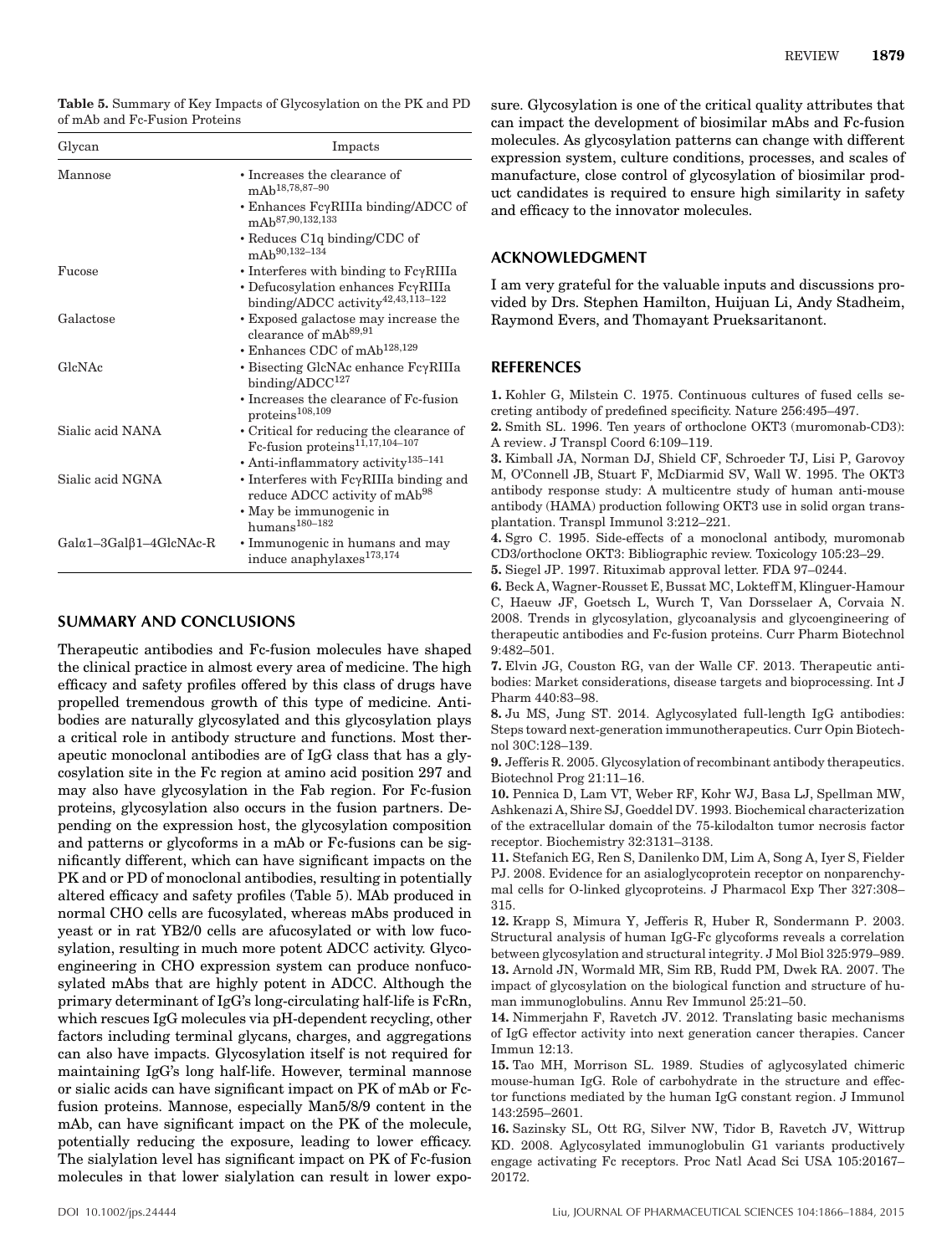**Table 5.** Summary of Key Impacts of Glycosylation on the PK and PD of mAb and Fc-Fusion Proteins

| Glycan                                    | Impacts                                                                                            |
|-------------------------------------------|----------------------------------------------------------------------------------------------------|
| Mannose                                   | • Increases the clearance of<br>mAb <sup>18,78,87-90</sup>                                         |
|                                           | • Enhances $Fc\gamma RIIIa binding/ADCC$ of<br>mAb <sup>87,90,132,133</sup>                        |
|                                           | $\cdot$ Reduces C <sub>1q</sub> binding/CDC of<br>mAb <sup>90,132-134</sup>                        |
| Fucose                                    | • Interferes with binding to $Fc\gamma RIIIa$                                                      |
|                                           | $\cdot$ Defucosylation enhances $Fc\gamma RIIIa$<br>binding/ADCC activity <sup>42,43,113-122</sup> |
| Galactose                                 | • Exposed galactose may increase the<br>clearance of mAb <sup>89,91</sup>                          |
|                                           | • Enhances CDC of mAb <sup>128,129</sup>                                                           |
| GlcNAc                                    | $\cdot$ Bisecting GlcNAc enhance $Fc\gamma$ RIIIa<br>binding/ADCC <sup>127</sup>                   |
|                                           | • Increases the clearance of Fc-fusion<br>proteins <sup>108,109</sup>                              |
| Sialic acid NANA                          | • Critical for reducing the clearance of<br>Fc-fusion proteins <sup>11,17,104-107</sup>            |
|                                           | · Anti-inflammatory activity <sup>135-141</sup>                                                    |
| Sialic acid NGNA                          | $\cdot$ Interferes with $Fc\gamma$ RIIIa binding and<br>reduce ADCC activity of mAb <sup>98</sup>  |
|                                           | • May be immunogenic in<br>$\text{humans}^{180-182}$                                               |
| $Gal \alpha 1 - 3Gal \beta 1 - 4GlcNAc-R$ | • Immunogenic in humans and may<br>induce anaphylaxes <sup>173,174</sup>                           |

### **SUMMARY AND CONCLUSIONS**

Therapeutic antibodies and Fc-fusion molecules have shaped the clinical practice in almost every area of medicine. The high efficacy and safety profiles offered by this class of drugs have propelled tremendous growth of this type of medicine. Antibodies are naturally glycosylated and this glycosylation plays a critical role in antibody structure and functions. Most therapeutic monoclonal antibodies are of IgG class that has a glycosylation site in the Fc region at amino acid position 297 and may also have glycosylation in the Fab region. For Fc-fusion proteins, glycosylation also occurs in the fusion partners. Depending on the expression host, the glycosylation composition and patterns or glycoforms in a mAb or Fc-fusions can be significantly different, which can have significant impacts on the PK and or PD of monoclonal antibodies, resulting in potentially altered efficacy and safety profiles (Table 5). MAb produced in normal CHO cells are fucosylated, whereas mAbs produced in yeast or in rat YB2/0 cells are afucosylated or with low fucosylation, resulting in much more potent ADCC activity. Glycoengineering in CHO expression system can produce nonfucosylated mAbs that are highly potent in ADCC. Although the primary determinant of IgG's long-circulating half-life is FcRn, which rescues IgG molecules via pH-dependent recycling, other factors including terminal glycans, charges, and aggregations can also have impacts. Glycosylation itself is not required for maintaining IgG's long half-life. However, terminal mannose or sialic acids can have significant impact on PK of mAb or Fcfusion proteins. Mannose, especially Man5/8/9 content in the mAb, can have significant impact on the PK of the molecule, potentially reducing the exposure, leading to lower efficacy. The sialylation level has significant impact on PK of Fc-fusion molecules in that lower sialylation can result in lower exposure. Glycosylation is one of the critical quality attributes that can impact the development of biosimilar mAbs and Fc-fusion molecules. As glycosylation patterns can change with different expression system, culture conditions, processes, and scales of manufacture, close control of glycosylation of biosimilar product candidates is required to ensure high similarity in safety and efficacy to the innovator molecules.

### **ACKNOWLEDGMENT**

I am very grateful for the valuable inputs and discussions provided by Drs. Stephen Hamilton, Huijuan Li, Andy Stadheim, Raymond Evers, and Thomayant Prueksaritanont.

#### **REFERENCES**

**1.** Kohler G, Milstein C. 1975. Continuous cultures of fused cells secreting antibody of predefined specificity. Nature 256:495–497.

**2.** Smith SL. 1996. Ten years of orthoclone OKT3 (muromonab-CD3): A review. J Transpl Coord 6:109–119.

**3.** Kimball JA, Norman DJ, Shield CF, Schroeder TJ, Lisi P, Garovoy M, O'Connell JB, Stuart F, McDiarmid SV, Wall W. 1995. The OKT3 antibody response study: A multicentre study of human anti-mouse antibody (HAMA) production following OKT3 use in solid organ transplantation. Transpl Immunol 3:212–221.

**4.** Sgro C. 1995. Side-effects of a monoclonal antibody, muromonab CD3/orthoclone OKT3: Bibliographic review. Toxicology 105:23–29.

**5.** Siegel JP. 1997. Rituximab approval letter. FDA 97–0244.

**6.** Beck A, Wagner-Rousset E, Bussat MC, Lokteff M, Klinguer-Hamour C, Haeuw JF, Goetsch L, Wurch T, Van Dorsselaer A, Corvaia N. 2008. Trends in glycosylation, glycoanalysis and glycoengineering of therapeutic antibodies and Fc-fusion proteins. Curr Pharm Biotechnol 9:482–501.

**7.** Elvin JG, Couston RG, van der Walle CF. 2013. Therapeutic antibodies: Market considerations, disease targets and bioprocessing. Int J Pharm 440:83–98.

**8.** Ju MS, Jung ST. 2014. Aglycosylated full-length IgG antibodies: Steps toward next-generation immunotherapeutics. Curr Opin Biotechnol 30C:128–139.

**9.** Jefferis R. 2005. Glycosylation of recombinant antibody therapeutics. Biotechnol Prog 21:11–16.

**10.** Pennica D, Lam VT, Weber RF, Kohr WJ, Basa LJ, Spellman MW, Ashkenazi A, Shire SJ, Goeddel DV. 1993. Biochemical characterization of the extracellular domain of the 75-kilodalton tumor necrosis factor receptor. Biochemistry 32:3131–3138.

**11.** Stefanich EG, Ren S, Danilenko DM, Lim A, Song A, Iyer S, Fielder PJ. 2008. Evidence for an asialoglycoprotein receptor on nonparenchymal cells for O-linked glycoproteins. J Pharmacol Exp Ther 327:308– 315.

**12.** Krapp S, Mimura Y, Jefferis R, Huber R, Sondermann P. 2003. Structural analysis of human IgG-Fc glycoforms reveals a correlation between glycosylation and structural integrity. J Mol Biol 325:979–989. **13.** Arnold JN, Wormald MR, Sim RB, Rudd PM, Dwek RA. 2007. The impact of glycosylation on the biological function and structure of human immunoglobulins. Annu Rev Immunol 25:21–50.

**14.** Nimmerjahn F, Ravetch JV. 2012. Translating basic mechanisms of IgG effector activity into next generation cancer therapies. Cancer Immun 12:13.

**15.** Tao MH, Morrison SL. 1989. Studies of aglycosylated chimeric mouse-human IgG. Role of carbohydrate in the structure and effector functions mediated by the human IgG constant region. J Immunol 143:2595–2601.

**16.** Sazinsky SL, Ott RG, Silver NW, Tidor B, Ravetch JV, Wittrup KD. 2008. Aglycosylated immunoglobulin G1 variants productively engage activating Fc receptors. Proc Natl Acad Sci USA 105:20167– 20172.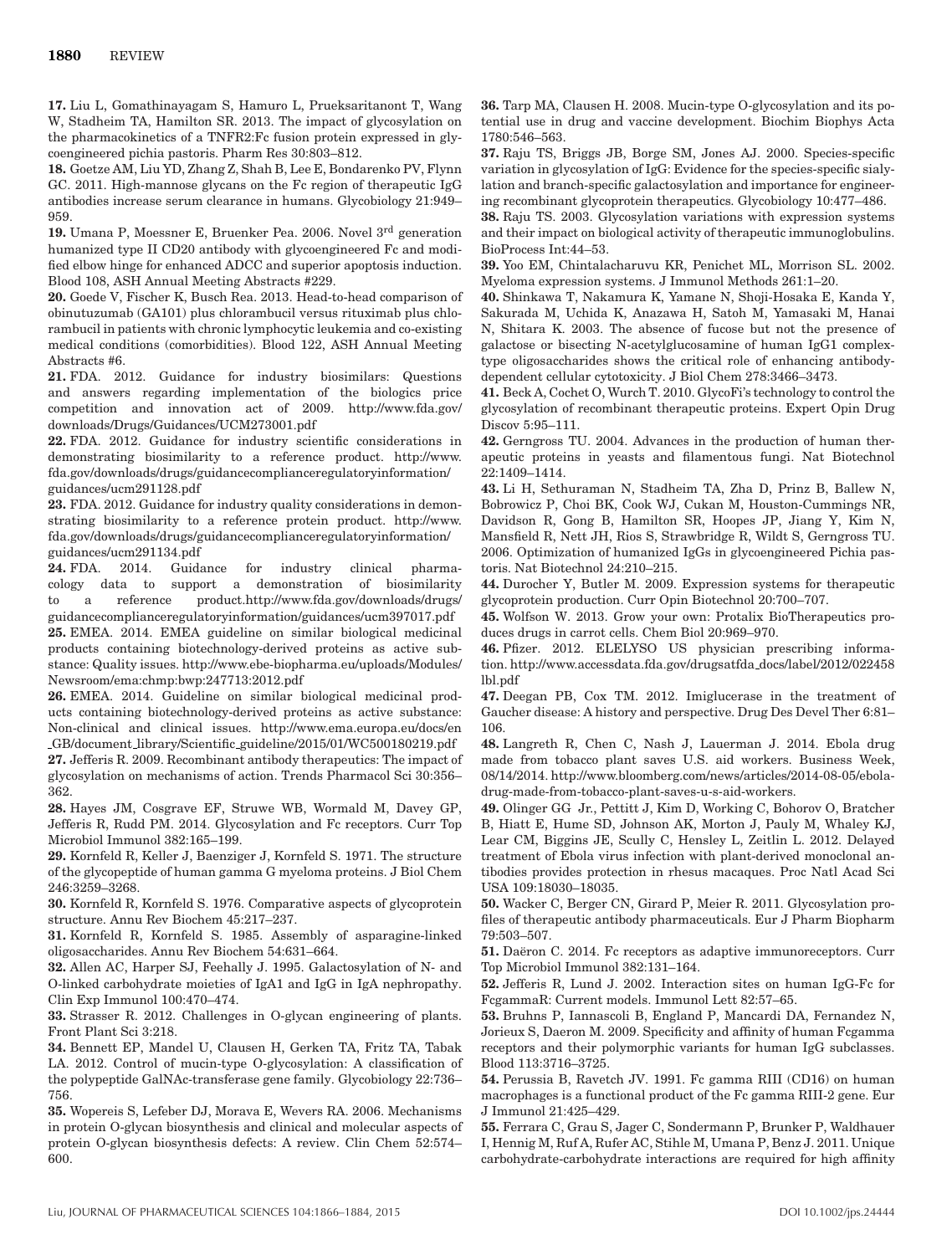**17.** Liu L, Gomathinayagam S, Hamuro L, Prueksaritanont T, Wang W, Stadheim TA, Hamilton SR. 2013. The impact of glycosylation on the pharmacokinetics of a TNFR2:Fc fusion protein expressed in glycoengineered pichia pastoris. Pharm Res 30:803–812.

**18.** Goetze AM, Liu YD, Zhang Z, Shah B, Lee E, Bondarenko PV, Flynn GC. 2011. High-mannose glycans on the Fc region of therapeutic IgG antibodies increase serum clearance in humans. Glycobiology 21:949– 959.

**19.** Umana P, Moessner E, Bruenker Pea. 2006. Novel 3rd generation humanized type II CD20 antibody with glycoengineered Fc and modified elbow hinge for enhanced ADCC and superior apoptosis induction. Blood 108, ASH Annual Meeting Abstracts #229.

**20.** Goede V, Fischer K, Busch Rea. 2013. Head-to-head comparison of obinutuzumab (GA101) plus chlorambucil versus rituximab plus chlorambucil in patients with chronic lymphocytic leukemia and co-existing medical conditions (comorbidities). Blood 122, ASH Annual Meeting Abstracts #6.

**21.** FDA. 2012. Guidance for industry biosimilars: Questions and answers regarding implementation of the biologics price competition and innovation act of 2009. http://www.fda.gov/ downloads/Drugs/Guidances/UCM273001.pdf

**22.** FDA. 2012. Guidance for industry scientific considerations in demonstrating biosimilarity to a reference product. http://www. fda.gov/downloads/drugs/guidancecomplianceregulatoryinformation/ guidances/ucm291128.pdf

**23.** FDA. 2012. Guidance for industry quality considerations in demonstrating biosimilarity to a reference protein product. http://www. fda.gov/downloads/drugs/guidancecomplianceregulatoryinformation/ guidances/ucm291134.pdf

**24.** FDA. 2014. Guidance for industry clinical pharmacology data to support a demonstration of biosimilarity to a reference product.http://www.fda.gov/downloads/drugs/ guidancecomplianceregulatoryinformation/guidances/ucm397017.pdf

**25.** EMEA. 2014. EMEA guideline on similar biological medicinal products containing biotechnology-derived proteins as active substance: Quality issues. http://www.ebe-biopharma.eu/uploads/Modules/ Newsroom/ema:chmp:bwp:247713:2012.pdf

**26.** EMEA. 2014. Guideline on similar biological medicinal products containing biotechnology-derived proteins as active substance: Non-clinical and clinical issues. http://www.ema.europa.eu/docs/en GB/document library/Scientific guideline/2015/01/WC500180219.pdf

**27.** Jefferis R. 2009. Recombinant antibody therapeutics: The impact of glycosylation on mechanisms of action. Trends Pharmacol Sci 30:356– 362.

**28.** Hayes JM, Cosgrave EF, Struwe WB, Wormald M, Davey GP, Jefferis R, Rudd PM. 2014. Glycosylation and Fc receptors. Curr Top Microbiol Immunol 382:165–199.

**29.** Kornfeld R, Keller J, Baenziger J, Kornfeld S. 1971. The structure of the glycopeptide of human gamma G myeloma proteins. J Biol Chem 246:3259–3268.

**30.** Kornfeld R, Kornfeld S. 1976. Comparative aspects of glycoprotein structure. Annu Rev Biochem 45:217–237.

**31.** Kornfeld R, Kornfeld S. 1985. Assembly of asparagine-linked oligosaccharides. Annu Rev Biochem 54:631–664.

**32.** Allen AC, Harper SJ, Feehally J. 1995. Galactosylation of N- and O-linked carbohydrate moieties of IgA1 and IgG in IgA nephropathy. Clin Exp Immunol 100:470–474.

**33.** Strasser R. 2012. Challenges in O-glycan engineering of plants. Front Plant Sci 3:218.

**34.** Bennett EP, Mandel U, Clausen H, Gerken TA, Fritz TA, Tabak LA. 2012. Control of mucin-type O-glycosylation: A classification of the polypeptide GalNAc-transferase gene family. Glycobiology 22:736– 756.

**35.** Wopereis S, Lefeber DJ, Morava E, Wevers RA. 2006. Mechanisms in protein O-glycan biosynthesis and clinical and molecular aspects of protein O-glycan biosynthesis defects: A review. Clin Chem 52:574– 600.

**36.** Tarp MA, Clausen H. 2008. Mucin-type O-glycosylation and its potential use in drug and vaccine development. Biochim Biophys Acta 1780:546–563.

**37.** Raju TS, Briggs JB, Borge SM, Jones AJ. 2000. Species-specific variation in glycosylation of IgG: Evidence for the species-specific sialylation and branch-specific galactosylation and importance for engineering recombinant glycoprotein therapeutics. Glycobiology 10:477–486.

**38.** Raju TS. 2003. Glycosylation variations with expression systems and their impact on biological activity of therapeutic immunoglobulins. BioProcess Int:44–53.

**39.** Yoo EM, Chintalacharuvu KR, Penichet ML, Morrison SL. 2002. Myeloma expression systems. J Immunol Methods 261:1–20.

**40.** Shinkawa T, Nakamura K, Yamane N, Shoji-Hosaka E, Kanda Y, Sakurada M, Uchida K, Anazawa H, Satoh M, Yamasaki M, Hanai N, Shitara K. 2003. The absence of fucose but not the presence of galactose or bisecting N-acetylglucosamine of human IgG1 complextype oligosaccharides shows the critical role of enhancing antibodydependent cellular cytotoxicity. J Biol Chem 278:3466–3473.

**41.** Beck A, Cochet O, Wurch T. 2010. GlycoFi's technology to control the glycosylation of recombinant therapeutic proteins. Expert Opin Drug Discov 5:95–111.

**42.** Gerngross TU. 2004. Advances in the production of human therapeutic proteins in yeasts and filamentous fungi. Nat Biotechnol 22:1409–1414.

**43.** Li H, Sethuraman N, Stadheim TA, Zha D, Prinz B, Ballew N, Bobrowicz P, Choi BK, Cook WJ, Cukan M, Houston-Cummings NR, Davidson R, Gong B, Hamilton SR, Hoopes JP, Jiang Y, Kim N, Mansfield R, Nett JH, Rios S, Strawbridge R, Wildt S, Gerngross TU. 2006. Optimization of humanized IgGs in glycoengineered Pichia pastoris. Nat Biotechnol 24:210–215.

**44.** Durocher Y, Butler M. 2009. Expression systems for therapeutic glycoprotein production. Curr Opin Biotechnol 20:700–707.

**45.** Wolfson W. 2013. Grow your own: Protalix BioTherapeutics produces drugs in carrot cells. Chem Biol 20:969–970.

**46.** Pfizer. 2012. ELELYSO US physician prescribing information. http://www.accessdata.fda.gov/drugsatfda docs/label/2012/022458 lbl.pdf

**47.** Deegan PB, Cox TM. 2012. Imiglucerase in the treatment of Gaucher disease: A history and perspective. Drug Des Devel Ther 6:81– 106.

**48.** Langreth R, Chen C, Nash J, Lauerman J. 2014. Ebola drug made from tobacco plant saves U.S. aid workers. Business Week, 08/14/2014. http://www.bloomberg.com/news/articles/2014-08-05/eboladrug-made-from-tobacco-plant-saves-u-s-aid-workers.

**49.** Olinger GG Jr., Pettitt J, Kim D, Working C, Bohorov O, Bratcher B, Hiatt E, Hume SD, Johnson AK, Morton J, Pauly M, Whaley KJ, Lear CM, Biggins JE, Scully C, Hensley L, Zeitlin L. 2012. Delayed treatment of Ebola virus infection with plant-derived monoclonal antibodies provides protection in rhesus macaques. Proc Natl Acad Sci USA 109:18030–18035.

**50.** Wacker C, Berger CN, Girard P, Meier R. 2011. Glycosylation profiles of therapeutic antibody pharmaceuticals. Eur J Pharm Biopharm 79:503–507.

51. Daëron C. 2014. Fc receptors as adaptive immunoreceptors. Curr Top Microbiol Immunol 382:131–164.

**52.** Jefferis R, Lund J. 2002. Interaction sites on human IgG-Fc for FcgammaR: Current models. Immunol Lett 82:57–65.

**53.** Bruhns P, Iannascoli B, England P, Mancardi DA, Fernandez N, Jorieux S, Daeron M. 2009. Specificity and affinity of human Fcgamma receptors and their polymorphic variants for human IgG subclasses. Blood 113:3716–3725.

**54.** Perussia B, Ravetch JV. 1991. Fc gamma RIII (CD16) on human macrophages is a functional product of the Fc gamma RIII-2 gene. Eur J Immunol 21:425–429.

**55.** Ferrara C, Grau S, Jager C, Sondermann P, Brunker P, Waldhauer I, Hennig M, Ruf A, Rufer AC, Stihle M, Umana P, Benz J. 2011. Unique carbohydrate-carbohydrate interactions are required for high affinity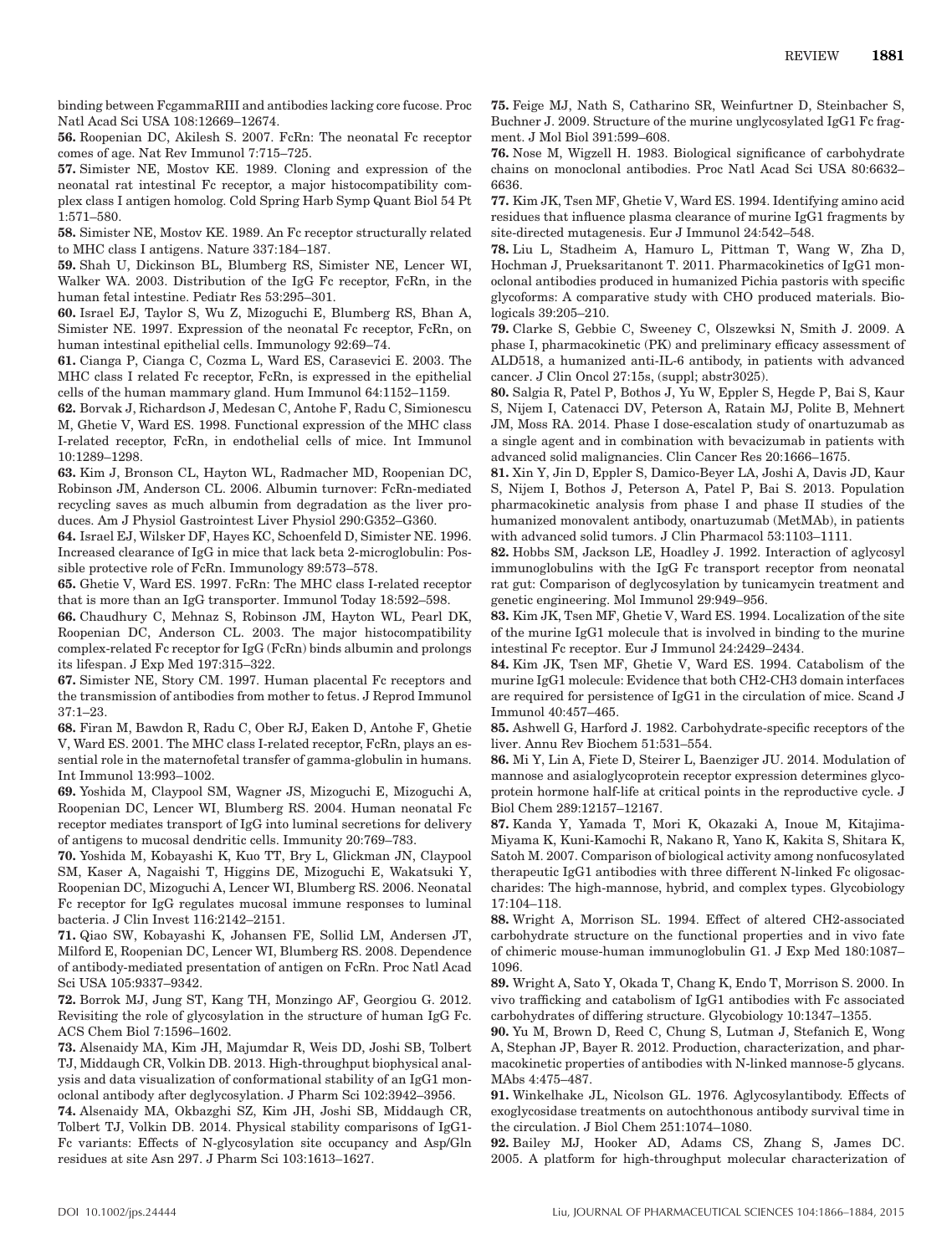binding between FcgammaRIII and antibodies lacking core fucose. Proc Natl Acad Sci USA 108:12669–12674.

**56.** Roopenian DC, Akilesh S. 2007. FcRn: The neonatal Fc receptor comes of age. Nat Rev Immunol 7:715–725.

**57.** Simister NE, Mostov KE. 1989. Cloning and expression of the neonatal rat intestinal Fc receptor, a major histocompatibility complex class I antigen homolog. Cold Spring Harb Symp Quant Biol 54 Pt 1:571–580.

**58.** Simister NE, Mostov KE. 1989. An Fc receptor structurally related to MHC class I antigens. Nature 337:184–187.

**59.** Shah U, Dickinson BL, Blumberg RS, Simister NE, Lencer WI, Walker WA. 2003. Distribution of the IgG Fc receptor, FcRn, in the human fetal intestine. Pediatr Res 53:295–301.

**60.** Israel EJ, Taylor S, Wu Z, Mizoguchi E, Blumberg RS, Bhan A, Simister NE. 1997. Expression of the neonatal Fc receptor, FcRn, on human intestinal epithelial cells. Immunology 92:69–74.

**61.** Cianga P, Cianga C, Cozma L, Ward ES, Carasevici E. 2003. The MHC class I related Fc receptor, FcRn, is expressed in the epithelial cells of the human mammary gland. Hum Immunol 64:1152–1159.

**62.** Borvak J, Richardson J, Medesan C, Antohe F, Radu C, Simionescu M, Ghetie V, Ward ES. 1998. Functional expression of the MHC class I-related receptor, FcRn, in endothelial cells of mice. Int Immunol 10:1289–1298.

**63.** Kim J, Bronson CL, Hayton WL, Radmacher MD, Roopenian DC, Robinson JM, Anderson CL. 2006. Albumin turnover: FcRn-mediated recycling saves as much albumin from degradation as the liver produces. Am J Physiol Gastrointest Liver Physiol 290:G352–G360.

**64.** Israel EJ, Wilsker DF, Hayes KC, Schoenfeld D, Simister NE. 1996. Increased clearance of IgG in mice that lack beta 2-microglobulin: Possible protective role of FcRn. Immunology 89:573–578.

**65.** Ghetie V, Ward ES. 1997. FcRn: The MHC class I-related receptor that is more than an IgG transporter. Immunol Today 18:592–598.

**66.** Chaudhury C, Mehnaz S, Robinson JM, Hayton WL, Pearl DK, Roopenian DC, Anderson CL. 2003. The major histocompatibility complex-related Fc receptor for IgG (FcRn) binds albumin and prolongs its lifespan. J Exp Med 197:315–322.

**67.** Simister NE, Story CM. 1997. Human placental Fc receptors and the transmission of antibodies from mother to fetus. J Reprod Immunol 37:1–23.

**68.** Firan M, Bawdon R, Radu C, Ober RJ, Eaken D, Antohe F, Ghetie V, Ward ES. 2001. The MHC class I-related receptor, FcRn, plays an essential role in the maternofetal transfer of gamma-globulin in humans. Int Immunol 13:993–1002.

**69.** Yoshida M, Claypool SM, Wagner JS, Mizoguchi E, Mizoguchi A, Roopenian DC, Lencer WI, Blumberg RS. 2004. Human neonatal Fc receptor mediates transport of IgG into luminal secretions for delivery of antigens to mucosal dendritic cells. Immunity 20:769–783.

**70.** Yoshida M, Kobayashi K, Kuo TT, Bry L, Glickman JN, Claypool SM, Kaser A, Nagaishi T, Higgins DE, Mizoguchi E, Wakatsuki Y, Roopenian DC, Mizoguchi A, Lencer WI, Blumberg RS. 2006. Neonatal Fc receptor for IgG regulates mucosal immune responses to luminal bacteria. J Clin Invest 116:2142–2151.

**71.** Qiao SW, Kobayashi K, Johansen FE, Sollid LM, Andersen JT, Milford E, Roopenian DC, Lencer WI, Blumberg RS. 2008. Dependence of antibody-mediated presentation of antigen on FcRn. Proc Natl Acad Sci USA 105:9337–9342.

**72.** Borrok MJ, Jung ST, Kang TH, Monzingo AF, Georgiou G. 2012. Revisiting the role of glycosylation in the structure of human IgG Fc. ACS Chem Biol 7:1596–1602.

**73.** Alsenaidy MA, Kim JH, Majumdar R, Weis DD, Joshi SB, Tolbert TJ, Middaugh CR, Volkin DB. 2013. High-throughput biophysical analysis and data visualization of conformational stability of an IgG1 monoclonal antibody after deglycosylation. J Pharm Sci 102:3942–3956.

**74.** Alsenaidy MA, Okbazghi SZ, Kim JH, Joshi SB, Middaugh CR, Tolbert TJ, Volkin DB. 2014. Physical stability comparisons of IgG1- Fc variants: Effects of N-glycosylation site occupancy and Asp/Gln residues at site Asn 297. J Pharm Sci 103:1613–1627.

**75.** Feige MJ, Nath S, Catharino SR, Weinfurtner D, Steinbacher S, Buchner J. 2009. Structure of the murine unglycosylated IgG1 Fc fragment. J Mol Biol 391:599–608.

**76.** Nose M, Wigzell H. 1983. Biological significance of carbohydrate chains on monoclonal antibodies. Proc Natl Acad Sci USA 80:6632– 6636.

**77.** Kim JK, Tsen MF, Ghetie V, Ward ES. 1994. Identifying amino acid residues that influence plasma clearance of murine IgG1 fragments by site-directed mutagenesis. Eur J Immunol 24:542–548.

**78.** Liu L, Stadheim A, Hamuro L, Pittman T, Wang W, Zha D, Hochman J, Prueksaritanont T. 2011. Pharmacokinetics of IgG1 monoclonal antibodies produced in humanized Pichia pastoris with specific glycoforms: A comparative study with CHO produced materials. Biologicals 39:205–210.

**79.** Clarke S, Gebbie C, Sweeney C, Olszewksi N, Smith J. 2009. A phase I, pharmacokinetic (PK) and preliminary efficacy assessment of ALD518, a humanized anti-IL-6 antibody, in patients with advanced cancer. J Clin Oncol 27:15s, (suppl; abstr3025).

**80.** Salgia R, Patel P, Bothos J, Yu W, Eppler S, Hegde P, Bai S, Kaur S, Nijem I, Catenacci DV, Peterson A, Ratain MJ, Polite B, Mehnert JM, Moss RA. 2014. Phase I dose-escalation study of onartuzumab as a single agent and in combination with bevacizumab in patients with advanced solid malignancies. Clin Cancer Res 20:1666–1675.

**81.** Xin Y, Jin D, Eppler S, Damico-Beyer LA, Joshi A, Davis JD, Kaur S, Nijem I, Bothos J, Peterson A, Patel P, Bai S. 2013. Population pharmacokinetic analysis from phase I and phase II studies of the humanized monovalent antibody, onartuzumab (MetMAb), in patients with advanced solid tumors. J Clin Pharmacol 53:1103–1111.

**82.** Hobbs SM, Jackson LE, Hoadley J. 1992. Interaction of aglycosyl immunoglobulins with the IgG Fc transport receptor from neonatal rat gut: Comparison of deglycosylation by tunicamycin treatment and genetic engineering. Mol Immunol 29:949–956.

**83.** Kim JK, Tsen MF, Ghetie V, Ward ES. 1994. Localization of the site of the murine IgG1 molecule that is involved in binding to the murine intestinal Fc receptor. Eur J Immunol 24:2429–2434.

**84.** Kim JK, Tsen MF, Ghetie V, Ward ES. 1994. Catabolism of the murine IgG1 molecule: Evidence that both CH2-CH3 domain interfaces are required for persistence of IgG1 in the circulation of mice. Scand J Immunol 40:457–465.

**85.** Ashwell G, Harford J. 1982. Carbohydrate-specific receptors of the liver. Annu Rev Biochem 51:531–554.

**86.** Mi Y, Lin A, Fiete D, Steirer L, Baenziger JU. 2014. Modulation of mannose and asialoglycoprotein receptor expression determines glycoprotein hormone half-life at critical points in the reproductive cycle. J Biol Chem 289:12157–12167.

**87.** Kanda Y, Yamada T, Mori K, Okazaki A, Inoue M, Kitajima-Miyama K, Kuni-Kamochi R, Nakano R, Yano K, Kakita S, Shitara K, Satoh M. 2007. Comparison of biological activity among nonfucosylated therapeutic IgG1 antibodies with three different N-linked Fc oligosaccharides: The high-mannose, hybrid, and complex types. Glycobiology 17:104–118.

**88.** Wright A, Morrison SL. 1994. Effect of altered CH2-associated carbohydrate structure on the functional properties and in vivo fate of chimeric mouse-human immunoglobulin G1. J Exp Med 180:1087– 1096.

**89.** Wright A, Sato Y, Okada T, Chang K, Endo T, Morrison S. 2000. In vivo trafficking and catabolism of IgG1 antibodies with Fc associated carbohydrates of differing structure. Glycobiology 10:1347–1355.

**90.** Yu M, Brown D, Reed C, Chung S, Lutman J, Stefanich E, Wong A, Stephan JP, Bayer R. 2012. Production, characterization, and pharmacokinetic properties of antibodies with N-linked mannose-5 glycans. MAbs 4:475–487.

**91.** Winkelhake JL, Nicolson GL. 1976. Aglycosylantibody. Effects of exoglycosidase treatments on autochthonous antibody survival time in the circulation. J Biol Chem 251:1074–1080.

**92.** Bailey MJ, Hooker AD, Adams CS, Zhang S, James DC. 2005. A platform for high-throughput molecular characterization of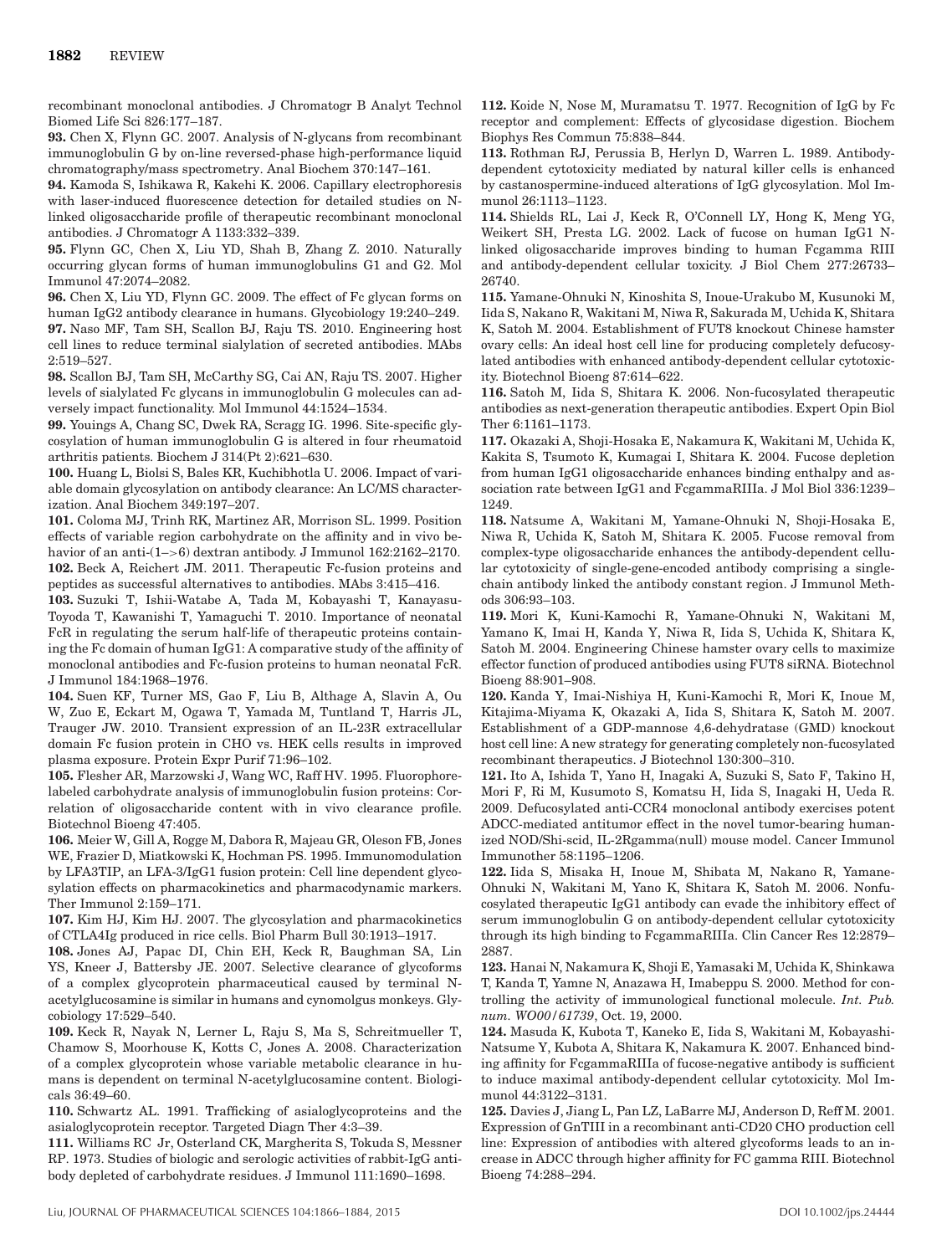recombinant monoclonal antibodies. J Chromatogr B Analyt Technol Biomed Life Sci 826:177–187.

**93.** Chen X, Flynn GC. 2007. Analysis of N-glycans from recombinant immunoglobulin G by on-line reversed-phase high-performance liquid chromatography/mass spectrometry. Anal Biochem 370:147–161.

**94.** Kamoda S, Ishikawa R, Kakehi K. 2006. Capillary electrophoresis with laser-induced fluorescence detection for detailed studies on Nlinked oligosaccharide profile of therapeutic recombinant monoclonal antibodies. J Chromatogr A 1133:332–339.

**95.** Flynn GC, Chen X, Liu YD, Shah B, Zhang Z. 2010. Naturally occurring glycan forms of human immunoglobulins G1 and G2. Mol Immunol 47:2074–2082.

**96.** Chen X, Liu YD, Flynn GC. 2009. The effect of Fc glycan forms on human IgG2 antibody clearance in humans. Glycobiology 19:240–249. **97.** Naso MF, Tam SH, Scallon BJ, Raju TS. 2010. Engineering host cell lines to reduce terminal sialylation of secreted antibodies. MAbs 2:519–527.

**98.** Scallon BJ, Tam SH, McCarthy SG, Cai AN, Raju TS. 2007. Higher levels of sialylated Fc glycans in immunoglobulin G molecules can adversely impact functionality. Mol Immunol 44:1524–1534.

**99.** Youings A, Chang SC, Dwek RA, Scragg IG. 1996. Site-specific glycosylation of human immunoglobulin G is altered in four rheumatoid arthritis patients. Biochem J 314(Pt 2):621–630.

**100.** Huang L, Biolsi S, Bales KR, Kuchibhotla U. 2006. Impact of variable domain glycosylation on antibody clearance: An LC/MS characterization. Anal Biochem 349:197–207.

**101.** Coloma MJ, Trinh RK, Martinez AR, Morrison SL. 1999. Position effects of variable region carbohydrate on the affinity and in vivo behavior of an anti-(1–>6) dextran antibody. J Immunol 162:2162–2170. **102.** Beck A, Reichert JM. 2011. Therapeutic Fc-fusion proteins and peptides as successful alternatives to antibodies. MAbs 3:415–416.

**103.** Suzuki T, Ishii-Watabe A, Tada M, Kobayashi T, Kanayasu-Toyoda T, Kawanishi T, Yamaguchi T. 2010. Importance of neonatal FcR in regulating the serum half-life of therapeutic proteins containing the Fc domain of human IgG1: A comparative study of the affinity of monoclonal antibodies and Fc-fusion proteins to human neonatal FcR. J Immunol 184:1968–1976.

**104.** Suen KF, Turner MS, Gao F, Liu B, Althage A, Slavin A, Ou W, Zuo E, Eckart M, Ogawa T, Yamada M, Tuntland T, Harris JL, Trauger JW. 2010. Transient expression of an IL-23R extracellular domain Fc fusion protein in CHO vs. HEK cells results in improved plasma exposure. Protein Expr Purif 71:96–102.

**105.** Flesher AR, Marzowski J, Wang WC, Raff HV. 1995. Fluorophorelabeled carbohydrate analysis of immunoglobulin fusion proteins: Correlation of oligosaccharide content with in vivo clearance profile. Biotechnol Bioeng 47:405.

**106.** Meier W, Gill A, Rogge M, Dabora R, Majeau GR, Oleson FB, Jones WE, Frazier D, Miatkowski K, Hochman PS. 1995. Immunomodulation by LFA3TIP, an LFA-3/IgG1 fusion protein: Cell line dependent glycosylation effects on pharmacokinetics and pharmacodynamic markers. Ther Immunol 2:159–171.

**107.** Kim HJ, Kim HJ. 2007. The glycosylation and pharmacokinetics of CTLA4Ig produced in rice cells. Biol Pharm Bull 30:1913–1917.

**108.** Jones AJ, Papac DI, Chin EH, Keck R, Baughman SA, Lin YS, Kneer J, Battersby JE. 2007. Selective clearance of glycoforms of a complex glycoprotein pharmaceutical caused by terminal Nacetylglucosamine is similar in humans and cynomolgus monkeys. Glycobiology 17:529–540.

**109.** Keck R, Nayak N, Lerner L, Raju S, Ma S, Schreitmueller T, Chamow S, Moorhouse K, Kotts C, Jones A. 2008. Characterization of a complex glycoprotein whose variable metabolic clearance in humans is dependent on terminal N-acetylglucosamine content. Biologicals 36:49–60.

**110.** Schwartz AL. 1991. Trafficking of asialoglycoproteins and the asialoglycoprotein receptor. Targeted Diagn Ther 4:3–39.

**111.** Williams RC Jr, Osterland CK, Margherita S, Tokuda S, Messner RP. 1973. Studies of biologic and serologic activities of rabbit-IgG antibody depleted of carbohydrate residues. J Immunol 111:1690–1698.

**112.** Koide N, Nose M, Muramatsu T. 1977. Recognition of IgG by Fc receptor and complement: Effects of glycosidase digestion. Biochem Biophys Res Commun 75:838–844.

**113.** Rothman RJ, Perussia B, Herlyn D, Warren L. 1989. Antibodydependent cytotoxicity mediated by natural killer cells is enhanced by castanospermine-induced alterations of IgG glycosylation. Mol Immunol 26:1113–1123.

**114.** Shields RL, Lai J, Keck R, O'Connell LY, Hong K, Meng YG, Weikert SH, Presta LG. 2002. Lack of fucose on human IgG1 Nlinked oligosaccharide improves binding to human Fcgamma RIII and antibody-dependent cellular toxicity. J Biol Chem 277:26733– 26740.

**115.** Yamane-Ohnuki N, Kinoshita S, Inoue-Urakubo M, Kusunoki M, Iida S, Nakano R, Wakitani M, Niwa R, Sakurada M, Uchida K, Shitara K, Satoh M. 2004. Establishment of FUT8 knockout Chinese hamster ovary cells: An ideal host cell line for producing completely defucosylated antibodies with enhanced antibody-dependent cellular cytotoxicity. Biotechnol Bioeng 87:614–622.

**116.** Satoh M, Iida S, Shitara K. 2006. Non-fucosylated therapeutic antibodies as next-generation therapeutic antibodies. Expert Opin Biol Ther 6:1161–1173.

**117.** Okazaki A, Shoji-Hosaka E, Nakamura K, Wakitani M, Uchida K, Kakita S, Tsumoto K, Kumagai I, Shitara K. 2004. Fucose depletion from human IgG1 oligosaccharide enhances binding enthalpy and association rate between IgG1 and FcgammaRIIIa. J Mol Biol 336:1239– 1249.

**118.** Natsume A, Wakitani M, Yamane-Ohnuki N, Shoji-Hosaka E, Niwa R, Uchida K, Satoh M, Shitara K. 2005. Fucose removal from complex-type oligosaccharide enhances the antibody-dependent cellular cytotoxicity of single-gene-encoded antibody comprising a singlechain antibody linked the antibody constant region. J Immunol Methods 306:93–103.

**119.** Mori K, Kuni-Kamochi R, Yamane-Ohnuki N, Wakitani M, Yamano K, Imai H, Kanda Y, Niwa R, Iida S, Uchida K, Shitara K, Satoh M. 2004. Engineering Chinese hamster ovary cells to maximize effector function of produced antibodies using FUT8 siRNA. Biotechnol Bioeng 88:901–908.

**120.** Kanda Y, Imai-Nishiya H, Kuni-Kamochi R, Mori K, Inoue M, Kitajima-Miyama K, Okazaki A, Iida S, Shitara K, Satoh M. 2007. Establishment of a GDP-mannose 4,6-dehydratase (GMD) knockout host cell line: A new strategy for generating completely non-fucosylated recombinant therapeutics. J Biotechnol 130:300–310.

**121.** Ito A, Ishida T, Yano H, Inagaki A, Suzuki S, Sato F, Takino H, Mori F, Ri M, Kusumoto S, Komatsu H, Iida S, Inagaki H, Ueda R. 2009. Defucosylated anti-CCR4 monoclonal antibody exercises potent ADCC-mediated antitumor effect in the novel tumor-bearing humanized NOD/Shi-scid, IL-2Rgamma(null) mouse model. Cancer Immunol Immunother 58:1195–1206.

**122.** Iida S, Misaka H, Inoue M, Shibata M, Nakano R, Yamane-Ohnuki N, Wakitani M, Yano K, Shitara K, Satoh M. 2006. Nonfucosylated therapeutic IgG1 antibody can evade the inhibitory effect of serum immunoglobulin G on antibody-dependent cellular cytotoxicity through its high binding to FcgammaRIIIa. Clin Cancer Res 12:2879– 2887.

**123.** Hanai N, Nakamura K, Shoji E, Yamasaki M, Uchida K, Shinkawa T, Kanda T, Yamne N, Anazawa H, Imabeppu S. 2000. Method for controlling the activity of immunological functional molecule. *Int. Pub. num. WO00/61739*, Oct. 19, 2000.

**124.** Masuda K, Kubota T, Kaneko E, Iida S, Wakitani M, Kobayashi-Natsume Y, Kubota A, Shitara K, Nakamura K. 2007. Enhanced binding affinity for FcgammaRIIIa of fucose-negative antibody is sufficient to induce maximal antibody-dependent cellular cytotoxicity. Mol Immunol 44:3122–3131.

**125.** Davies J, Jiang L, Pan LZ, LaBarre MJ, Anderson D, Reff M. 2001. Expression of GnTIII in a recombinant anti-CD20 CHO production cell line: Expression of antibodies with altered glycoforms leads to an increase in ADCC through higher affinity for FC gamma RIII. Biotechnol Bioeng 74:288–294.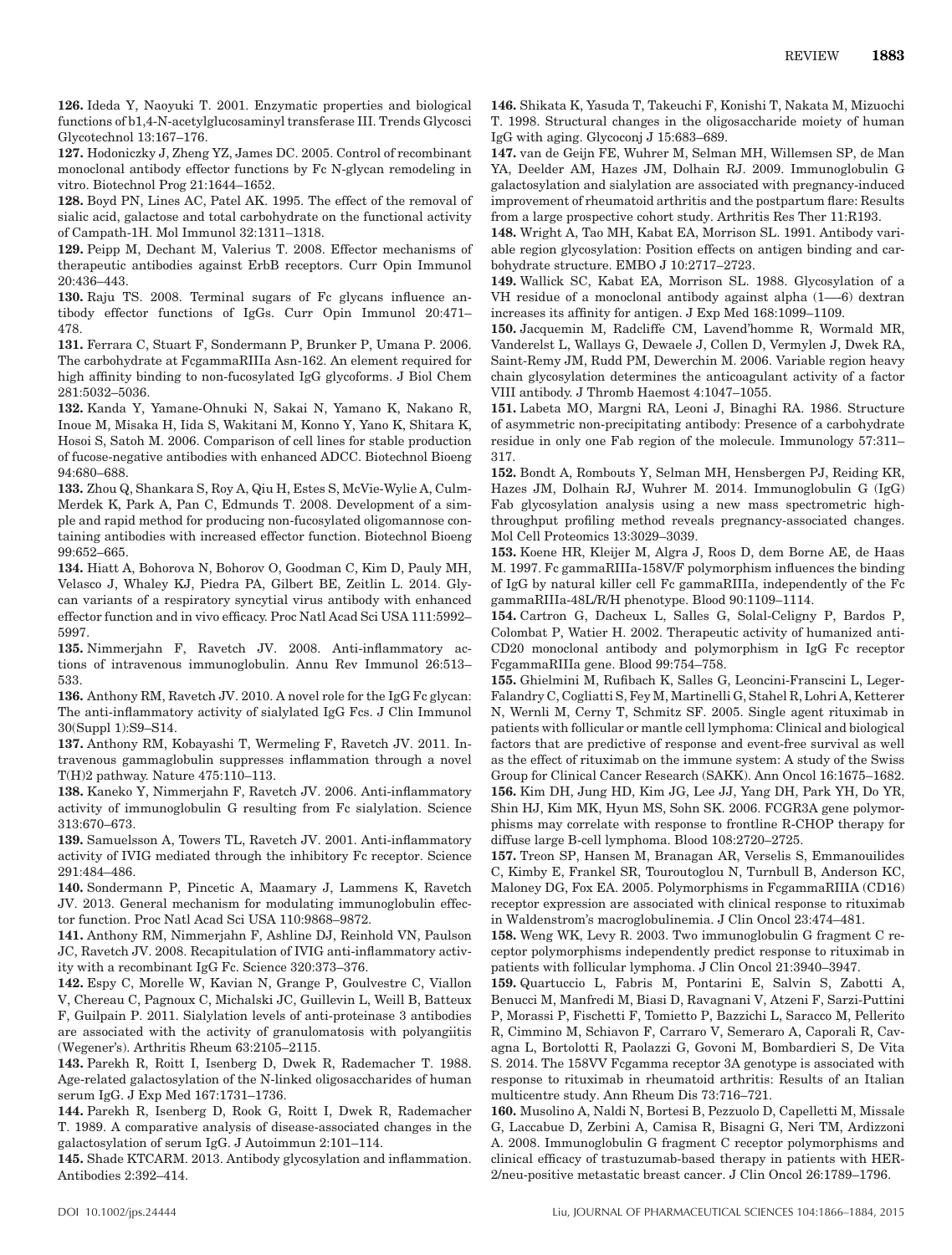**126.** Ideda Y, Naoyuki T. 2001. Enzymatic properties and biological functions of b1,4-N-acetylglucosaminyl transferase III. Trends Glycosci Glycotechnol 13:167–176.

**127.** Hodoniczky J, Zheng YZ, James DC. 2005. Control of recombinant monoclonal antibody effector functions by Fc N-glycan remodeling in vitro. Biotechnol Prog 21:1644–1652.

**128.** Boyd PN, Lines AC, Patel AK. 1995. The effect of the removal of sialic acid, galactose and total carbohydrate on the functional activity of Campath-1H. Mol Immunol 32:1311–1318.

**129.** Peipp M, Dechant M, Valerius T. 2008. Effector mechanisms of therapeutic antibodies against ErbB receptors. Curr Opin Immunol 20:436–443.

**130.** Raju TS. 2008. Terminal sugars of Fc glycans influence antibody effector functions of IgGs. Curr Opin Immunol 20:471– 478.

**131.** Ferrara C, Stuart F, Sondermann P, Brunker P, Umana P. 2006. The carbohydrate at FcgammaRIIIa Asn-162. An element required for high affinity binding to non-fucosylated IgG glycoforms. J Biol Chem 281:5032–5036.

**132.** Kanda Y, Yamane-Ohnuki N, Sakai N, Yamano K, Nakano R, Inoue M, Misaka H, Iida S, Wakitani M, Konno Y, Yano K, Shitara K, Hosoi S, Satoh M. 2006. Comparison of cell lines for stable production of fucose-negative antibodies with enhanced ADCC. Biotechnol Bioeng 94:680–688.

**133.** Zhou Q, Shankara S, Roy A, Qiu H, Estes S, McVie-Wylie A, Culm-Merdek K, Park A, Pan C, Edmunds T. 2008. Development of a simple and rapid method for producing non-fucosylated oligomannose containing antibodies with increased effector function. Biotechnol Bioeng 99:652–665.

**134.** Hiatt A, Bohorova N, Bohorov O, Goodman C, Kim D, Pauly MH, Velasco J, Whaley KJ, Piedra PA, Gilbert BE, Zeitlin L. 2014. Glycan variants of a respiratory syncytial virus antibody with enhanced effector function and in vivo efficacy. Proc Natl Acad Sci USA 111:5992– 5997.

**135.** Nimmerjahn F, Ravetch JV. 2008. Anti-inflammatory actions of intravenous immunoglobulin. Annu Rev Immunol 26:513– 533.

136. Anthony RM, Ravetch JV. 2010. A novel role for the IgG Fc glycan: The anti-inflammatory activity of sialylated IgG Fcs. J Clin Immunol 30(Suppl 1):S9–S14.

**137.** Anthony RM, Kobayashi T, Wermeling F, Ravetch JV. 2011. Intravenous gammaglobulin suppresses inflammation through a novel T(H)2 pathway. Nature 475:110–113.

**138.** Kaneko Y, Nimmerjahn F, Ravetch JV. 2006. Anti-inflammatory activity of immunoglobulin G resulting from Fc sialylation. Science 313:670–673.

**139.** Samuelsson A, Towers TL, Ravetch JV. 2001. Anti-inflammatory activity of IVIG mediated through the inhibitory Fc receptor. Science 291:484–486.

**140.** Sondermann P, Pincetic A, Maamary J, Lammens K, Ravetch JV. 2013. General mechanism for modulating immunoglobulin effector function. Proc Natl Acad Sci USA 110:9868–9872.

**141.** Anthony RM, Nimmerjahn F, Ashline DJ, Reinhold VN, Paulson JC, Ravetch JV. 2008. Recapitulation of IVIG anti-inflammatory activity with a recombinant IgG Fc. Science 320:373–376.

**142.** Espy C, Morelle W, Kavian N, Grange P, Goulvestre C, Viallon V, Chereau C, Pagnoux C, Michalski JC, Guillevin L, Weill B, Batteux F, Guilpain P. 2011. Sialylation levels of anti-proteinase 3 antibodies are associated with the activity of granulomatosis with polyangiitis (Wegener's). Arthritis Rheum 63:2105–2115.

**143.** Parekh R, Roitt I, Isenberg D, Dwek R, Rademacher T. 1988. Age-related galactosylation of the N-linked oligosaccharides of human serum IgG. J Exp Med 167:1731–1736.

**144.** Parekh R, Isenberg D, Rook G, Roitt I, Dwek R, Rademacher T. 1989. A comparative analysis of disease-associated changes in the galactosylation of serum IgG. J Autoimmun 2:101–114.

**145.** Shade KTCARM. 2013. Antibody glycosylation and inflammation. Antibodies 2:392–414.

**146.** Shikata K, Yasuda T, Takeuchi F, Konishi T, Nakata M, Mizuochi T. 1998. Structural changes in the oligosaccharide moiety of human IgG with aging. Glycoconj J 15:683–689.

**147.** van de Geijn FE, Wuhrer M, Selman MH, Willemsen SP, de Man YA, Deelder AM, Hazes JM, Dolhain RJ. 2009. Immunoglobulin G galactosylation and sialylation are associated with pregnancy-induced improvement of rheumatoid arthritis and the postpartum flare: Results from a large prospective cohort study. Arthritis Res Ther 11:R193.

**148.** Wright A, Tao MH, Kabat EA, Morrison SL. 1991. Antibody variable region glycosylation: Position effects on antigen binding and carbohydrate structure. EMBO J 10:2717–2723.

**149.** Wallick SC, Kabat EA, Morrison SL. 1988. Glycosylation of a VH residue of a monoclonal antibody against alpha (1—-6) dextran increases its affinity for antigen. J Exp Med 168:1099–1109.

**150.** Jacquemin M, Radcliffe CM, Lavend'homme R, Wormald MR, Vanderelst L, Wallays G, Dewaele J, Collen D, Vermylen J, Dwek RA, Saint-Remy JM, Rudd PM, Dewerchin M. 2006. Variable region heavy chain glycosylation determines the anticoagulant activity of a factor VIII antibody. J Thromb Haemost 4:1047–1055.

**151.** Labeta MO, Margni RA, Leoni J, Binaghi RA. 1986. Structure of asymmetric non-precipitating antibody: Presence of a carbohydrate residue in only one Fab region of the molecule. Immunology 57:311– 317.

**152.** Bondt A, Rombouts Y, Selman MH, Hensbergen PJ, Reiding KR, Hazes JM, Dolhain RJ, Wuhrer M. 2014. Immunoglobulin G (IgG) Fab glycosylation analysis using a new mass spectrometric highthroughput profiling method reveals pregnancy-associated changes. Mol Cell Proteomics 13:3029–3039.

**153.** Koene HR, Kleijer M, Algra J, Roos D, dem Borne AE, de Haas M. 1997. Fc gammaRIIIa-158V/F polymorphism influences the binding of IgG by natural killer cell Fc gammaRIIIa, independently of the Fc gammaRIIIa-48L/R/H phenotype. Blood 90:1109–1114.

**154.** Cartron G, Dacheux L, Salles G, Solal-Celigny P, Bardos P, Colombat P, Watier H. 2002. Therapeutic activity of humanized anti-CD20 monoclonal antibody and polymorphism in IgG Fc receptor FcgammaRIIIa gene. Blood 99:754–758.

**155.** Ghielmini M, Rufibach K, Salles G, Leoncini-Franscini L, Leger-Falandry C, Cogliatti S, Fey M, Martinelli G, Stahel R, Lohri A, Ketterer N, Wernli M, Cerny T, Schmitz SF. 2005. Single agent rituximab in patients with follicular or mantle cell lymphoma: Clinical and biological factors that are predictive of response and event-free survival as well as the effect of rituximab on the immune system: A study of the Swiss Group for Clinical Cancer Research (SAKK). Ann Oncol 16:1675–1682. **156.** Kim DH, Jung HD, Kim JG, Lee JJ, Yang DH, Park YH, Do YR, Shin HJ, Kim MK, Hyun MS, Sohn SK. 2006. FCGR3A gene polymorphisms may correlate with response to frontline R-CHOP therapy for diffuse large B-cell lymphoma. Blood 108:2720–2725.

**157.** Treon SP, Hansen M, Branagan AR, Verselis S, Emmanouilides C, Kimby E, Frankel SR, Touroutoglou N, Turnbull B, Anderson KC, Maloney DG, Fox EA. 2005. Polymorphisms in FcgammaRIIIA (CD16) receptor expression are associated with clinical response to rituximab in Waldenstrom's macroglobulinemia. J Clin Oncol 23:474–481.

**158.** Weng WK, Levy R. 2003. Two immunoglobulin G fragment C receptor polymorphisms independently predict response to rituximab in patients with follicular lymphoma. J Clin Oncol 21:3940–3947.

**159.** Quartuccio L, Fabris M, Pontarini E, Salvin S, Zabotti A, Benucci M, Manfredi M, Biasi D, Ravagnani V, Atzeni F, Sarzi-Puttini P, Morassi P, Fischetti F, Tomietto P, Bazzichi L, Saracco M, Pellerito R, Cimmino M, Schiavon F, Carraro V, Semeraro A, Caporali R, Cavagna L, Bortolotti R, Paolazzi G, Govoni M, Bombardieri S, De Vita S. 2014. The 158VV Fcgamma receptor 3A genotype is associated with response to rituximab in rheumatoid arthritis: Results of an Italian multicentre study. Ann Rheum Dis 73:716–721.

**160.** Musolino A, Naldi N, Bortesi B, Pezzuolo D, Capelletti M, Missale G, Laccabue D, Zerbini A, Camisa R, Bisagni G, Neri TM, Ardizzoni A. 2008. Immunoglobulin G fragment C receptor polymorphisms and clinical efficacy of trastuzumab-based therapy in patients with HER-2/neu-positive metastatic breast cancer. J Clin Oncol 26:1789–1796.